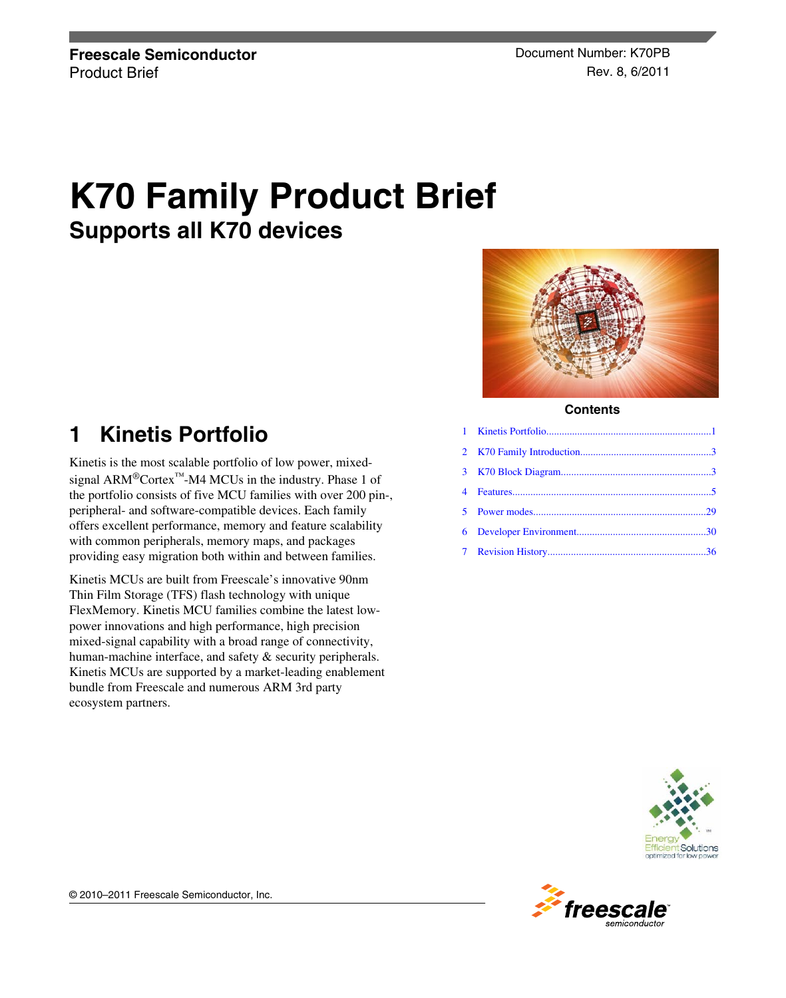# **K70 Family Product Brief Supports all K70 devices**

# **1 Kinetis Portfolio**

Kinetis is the most scalable portfolio of low power, mixedsignal ARM®Cortex™-M4 MCUs in the industry. Phase 1 of the portfolio consists of five MCU families with over 200 pin-, peripheral- and software-compatible devices. Each family offers excellent performance, memory and feature scalability with common peripherals, memory maps, and packages providing easy migration both within and between families.

Kinetis MCUs are built from Freescale's innovative 90nm Thin Film Storage (TFS) flash technology with unique FlexMemory. Kinetis MCU families combine the latest lowpower innovations and high performance, high precision mixed-signal capability with a broad range of connectivity, human-machine interface, and safety & security peripherals. Kinetis MCUs are supported by a market-leading enablement bundle from Freescale and numerous ARM 3rd party ecosystem partners.



**Contents**



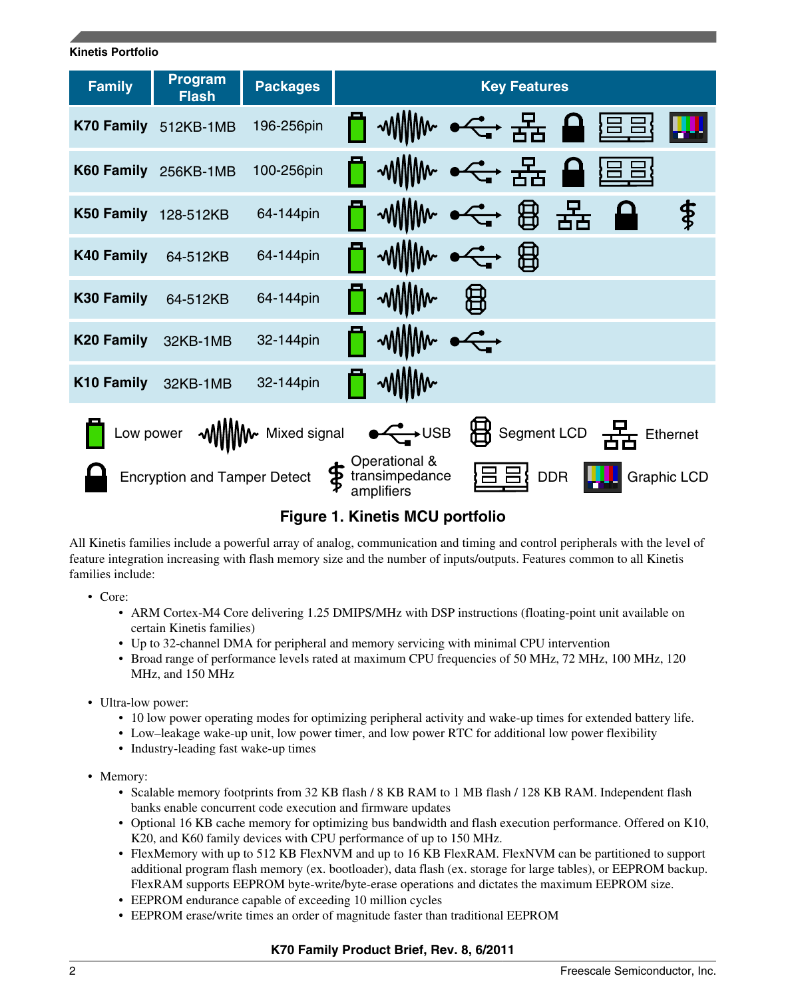# **Kinetis Portfolio Family Program Fackages I** Rev Features **K70 Family** 512KB-1MB 196-256pin **K60 Family** 256KB-1MB 100-256pin \$ **K50 Family** 128-512KB 64-144pin 用 **K40 Family** 64-512KB 64-144pin **K30 Family** 64-512KB 64-144pin **K20 Family** 32KB-1MB 32-144pin **K10 Family** 32KB-1MB 32-144pin Low power  $\sqrt{2}$  MMMW Mixed signal  $\sqrt{2}$  USB  $\overleftrightarrow{B}$  Segment LCD  $\frac{1}{2}$  Ethernet Operational & Encryption and Tamper Detect  $\mathbf{\Phi}$  transimpedance  $\mathbf{\Sigma} \boxminus \mathbf{\Xi}$  DDR transimpedance Graphic LCD amplifiers

**Figure 1. Kinetis MCU portfolio**

All Kinetis families include a powerful array of analog, communication and timing and control peripherals with the level of feature integration increasing with flash memory size and the number of inputs/outputs. Features common to all Kinetis families include:

- Core:
	- ARM Cortex-M4 Core delivering 1.25 DMIPS/MHz with DSP instructions (floating-point unit available on certain Kinetis families)
	- Up to 32-channel DMA for peripheral and memory servicing with minimal CPU intervention
	- Broad range of performance levels rated at maximum CPU frequencies of 50 MHz, 72 MHz, 100 MHz, 120 MHz, and 150 MHz
- Ultra-low power:
	- 10 low power operating modes for optimizing peripheral activity and wake-up times for extended battery life.
	- Low–leakage wake-up unit, low power timer, and low power RTC for additional low power flexibility
	- Industry-leading fast wake-up times
- Memory:
	- Scalable memory footprints from 32 KB flash / 8 KB RAM to 1 MB flash / 128 KB RAM. Independent flash banks enable concurrent code execution and firmware updates
	- Optional 16 KB cache memory for optimizing bus bandwidth and flash execution performance. Offered on K10, K20, and K60 family devices with CPU performance of up to 150 MHz.
	- FlexMemory with up to 512 KB FlexNVM and up to 16 KB FlexRAM. FlexNVM can be partitioned to support additional program flash memory (ex. bootloader), data flash (ex. storage for large tables), or EEPROM backup. FlexRAM supports EEPROM byte-write/byte-erase operations and dictates the maximum EEPROM size.
	- EEPROM endurance capable of exceeding 10 million cycles
	- EEPROM erase/write times an order of magnitude faster than traditional EEPROM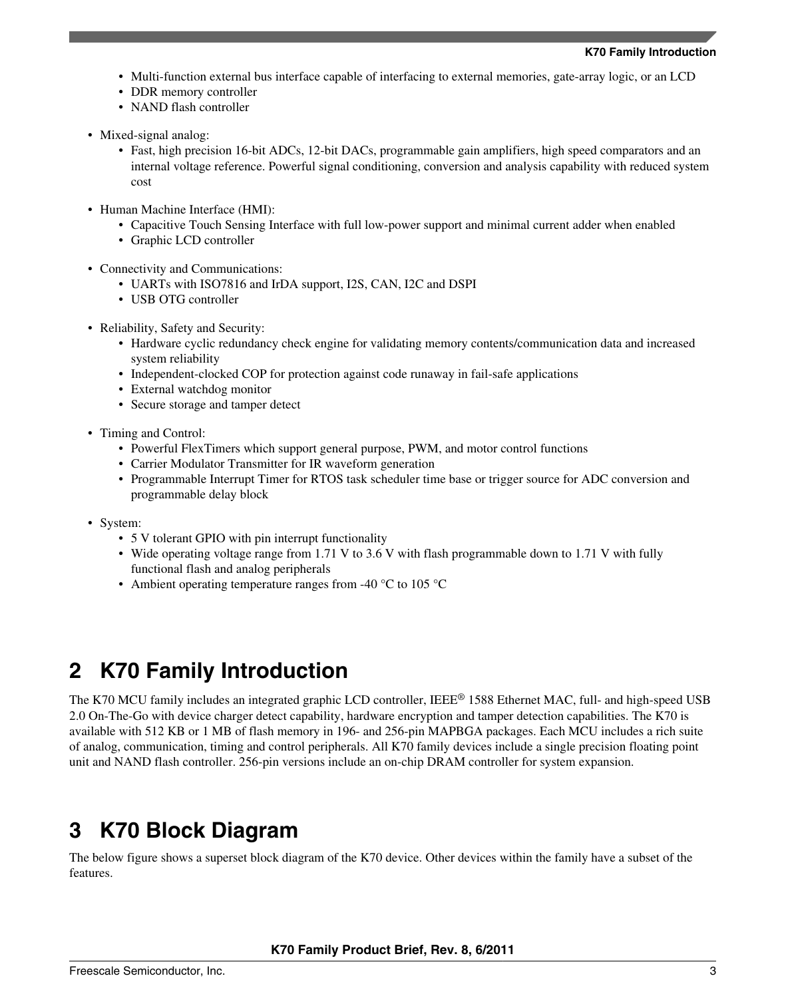- <span id="page-2-0"></span>• Multi-function external bus interface capable of interfacing to external memories, gate-array logic, or an LCD
- DDR memory controller
- NAND flash controller
- Mixed-signal analog:
	- Fast, high precision 16-bit ADCs, 12-bit DACs, programmable gain amplifiers, high speed comparators and an internal voltage reference. Powerful signal conditioning, conversion and analysis capability with reduced system cost
- Human Machine Interface (HMI):
	- Capacitive Touch Sensing Interface with full low-power support and minimal current adder when enabled
	- Graphic LCD controller
- Connectivity and Communications:
	- UARTs with ISO7816 and IrDA support, I2S, CAN, I2C and DSPI
	- USB OTG controller
- Reliability, Safety and Security:
	- Hardware cyclic redundancy check engine for validating memory contents/communication data and increased system reliability
	- Independent-clocked COP for protection against code runaway in fail-safe applications
	- External watchdog monitor
	- Secure storage and tamper detect
- Timing and Control:
	- Powerful FlexTimers which support general purpose, PWM, and motor control functions
	- Carrier Modulator Transmitter for IR waveform generation
	- Programmable Interrupt Timer for RTOS task scheduler time base or trigger source for ADC conversion and programmable delay block
- System:
	- 5 V tolerant GPIO with pin interrupt functionality
	- Wide operating voltage range from 1.71 V to 3.6 V with flash programmable down to 1.71 V with fully functional flash and analog peripherals
	- Ambient operating temperature ranges from -40  $\degree$ C to 105  $\degree$ C

# **2 K70 Family Introduction**

The K70 MCU family includes an integrated graphic LCD controller, IEEE® 1588 Ethernet MAC, full- and high-speed USB 2.0 On-The-Go with device charger detect capability, hardware encryption and tamper detection capabilities. The K70 is available with 512 KB or 1 MB of flash memory in 196- and 256-pin MAPBGA packages. Each MCU includes a rich suite of analog, communication, timing and control peripherals. All K70 family devices include a single precision floating point unit and NAND flash controller. 256-pin versions include an on-chip DRAM controller for system expansion.

# **3 K70 Block Diagram**

The below figure shows a superset block diagram of the K70 device. Other devices within the family have a subset of the features.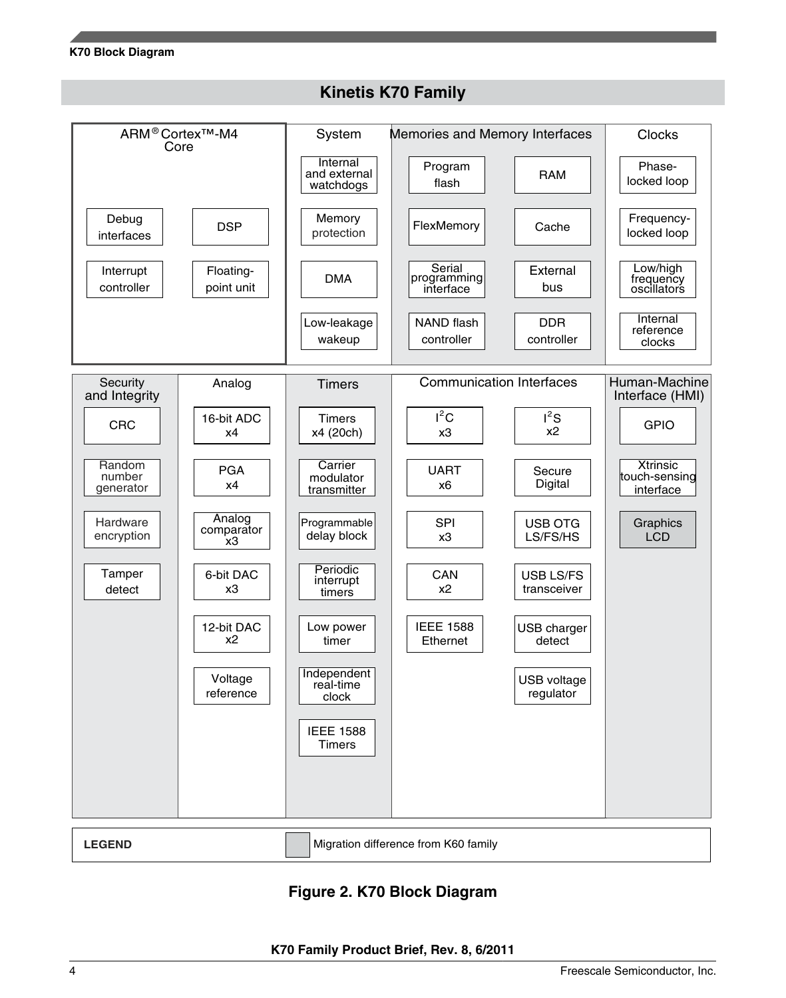### **K70 Block Diagram**



### **Kinetis K70 Family**

### **Figure 2. K70 Block Diagram**

**LEGEND** Migration difference from K60 family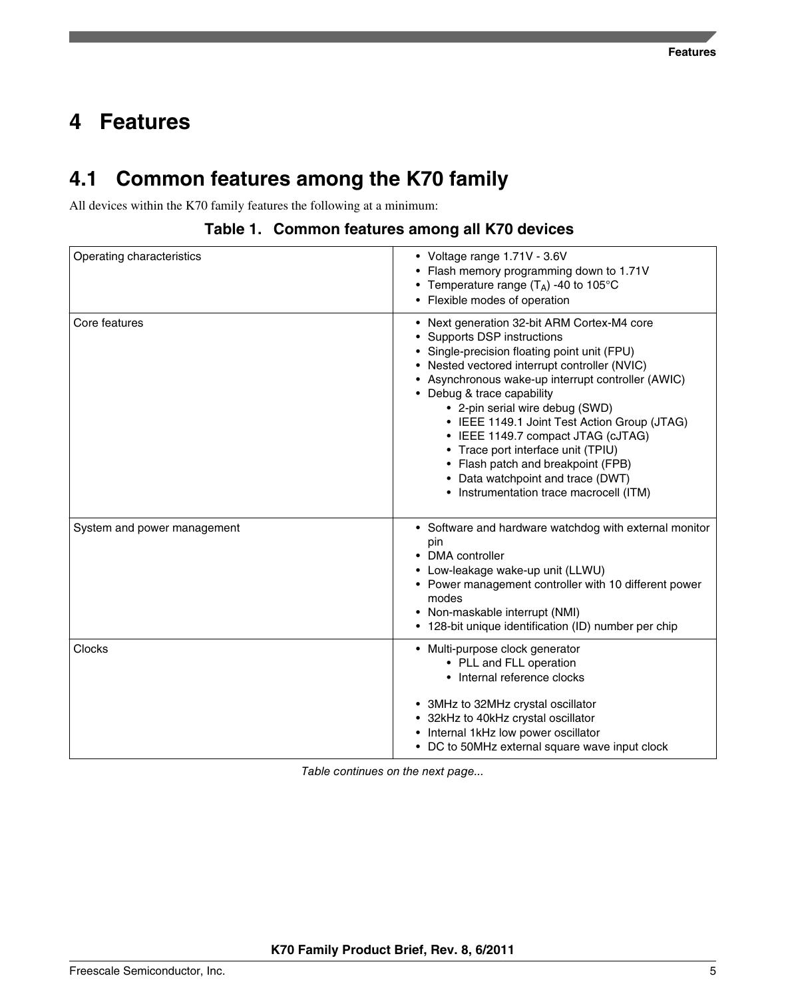# <span id="page-4-0"></span>**Features 4**

# **4.1 Common features among the K70 family**

All devices within the K70 family features the following at a minimum:

|  | Table 1. Common features among all K70 devices |  |  |  |  |  |
|--|------------------------------------------------|--|--|--|--|--|
|--|------------------------------------------------|--|--|--|--|--|

| Operating characteristics   | • Voltage range 1.71V - 3.6V<br>• Flash memory programming down to 1.71V<br>• Temperature range $(T_A)$ -40 to 105°C<br>• Flexible modes of operation                                                                                                                                                                                                                                                                                                                                                                                                |
|-----------------------------|------------------------------------------------------------------------------------------------------------------------------------------------------------------------------------------------------------------------------------------------------------------------------------------------------------------------------------------------------------------------------------------------------------------------------------------------------------------------------------------------------------------------------------------------------|
| Core features               | • Next generation 32-bit ARM Cortex-M4 core<br>• Supports DSP instructions<br>• Single-precision floating point unit (FPU)<br>• Nested vectored interrupt controller (NVIC)<br>• Asynchronous wake-up interrupt controller (AWIC)<br>• Debug & trace capability<br>• 2-pin serial wire debug (SWD)<br>• IEEE 1149.1 Joint Test Action Group (JTAG)<br>• IEEE 1149.7 compact JTAG (cJTAG)<br>• Trace port interface unit (TPIU)<br>• Flash patch and breakpoint (FPB)<br>• Data watchpoint and trace (DWT)<br>• Instrumentation trace macrocell (ITM) |
| System and power management | • Software and hardware watchdog with external monitor<br>pin<br>• DMA controller<br>• Low-leakage wake-up unit (LLWU)<br>• Power management controller with 10 different power<br>modes<br>• Non-maskable interrupt (NMI)<br>• 128-bit unique identification (ID) number per chip                                                                                                                                                                                                                                                                   |
| Clocks                      | • Multi-purpose clock generator<br>• PLL and FLL operation<br>• Internal reference clocks<br>• 3MHz to 32MHz crystal oscillator<br>• 32kHz to 40kHz crystal oscillator<br>• Internal 1kHz low power oscillator<br>• DC to 50MHz external square wave input clock                                                                                                                                                                                                                                                                                     |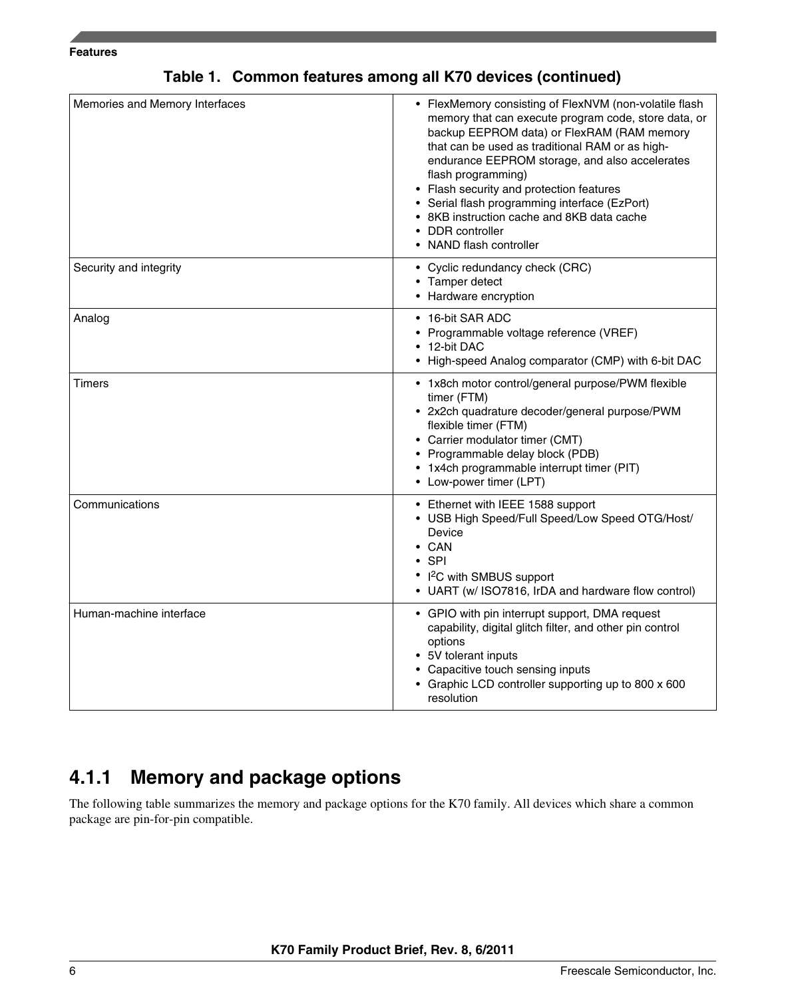#### **Features**

| Memories and Memory Interfaces | • FlexMemory consisting of FlexNVM (non-volatile flash<br>memory that can execute program code, store data, or<br>backup EEPROM data) or FlexRAM (RAM memory                                                                                                                                |
|--------------------------------|---------------------------------------------------------------------------------------------------------------------------------------------------------------------------------------------------------------------------------------------------------------------------------------------|
|                                | that can be used as traditional RAM or as high-<br>endurance EEPROM storage, and also accelerates<br>flash programming)                                                                                                                                                                     |
|                                | • Flash security and protection features<br>• Serial flash programming interface (EzPort)<br>• 8KB instruction cache and 8KB data cache                                                                                                                                                     |
|                                | • DDR controller<br>• NAND flash controller                                                                                                                                                                                                                                                 |
| Security and integrity         | • Cyclic redundancy check (CRC)<br>• Tamper detect<br>• Hardware encryption                                                                                                                                                                                                                 |
| Analog                         | • 16-bit SAR ADC<br>• Programmable voltage reference (VREF)<br>• 12-bit DAC<br>• High-speed Analog comparator (CMP) with 6-bit DAC                                                                                                                                                          |
| Timers                         | • 1x8ch motor control/general purpose/PWM flexible<br>timer (FTM)<br>• 2x2ch quadrature decoder/general purpose/PWM<br>flexible timer (FTM)<br>• Carrier modulator timer (CMT)<br>• Programmable delay block (PDB)<br>• 1x4ch programmable interrupt timer (PIT)<br>• Low-power timer (LPT) |
| Communications                 | • Ethernet with IEEE 1588 support<br>• USB High Speed/Full Speed/Low Speed OTG/Host/<br>Device<br>$\bullet$ CAN<br>$\cdot$ SPI<br>• I <sup>2</sup> C with SMBUS support<br>• UART (w/ ISO7816, IrDA and hardware flow control)                                                              |
| Human-machine interface        | • GPIO with pin interrupt support, DMA request<br>capability, digital glitch filter, and other pin control<br>options<br>• 5V tolerant inputs<br>• Capacitive touch sensing inputs<br>• Graphic LCD controller supporting up to 800 x 600<br>resolution                                     |

### **Table 1. Common features among all K70 devices (continued)**

## **4.1.1 Memory and package options**

The following table summarizes the memory and package options for the K70 family. All devices which share a common package are pin-for-pin compatible.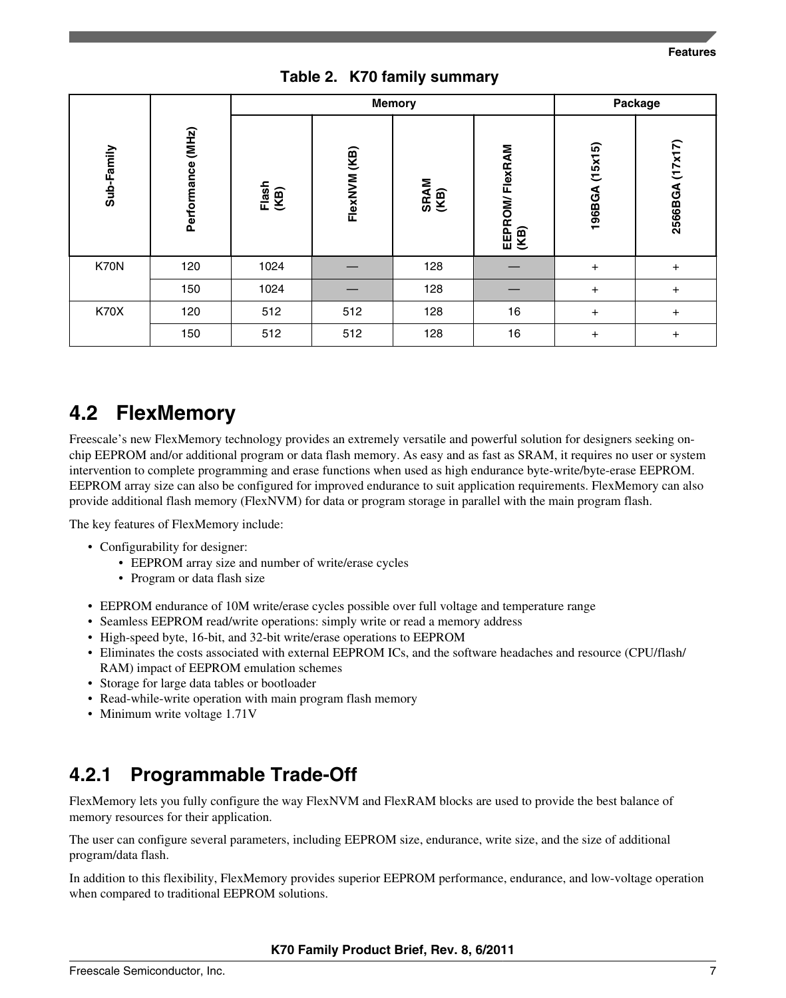### **Table 2. K70 family summary**

|             |                   |               |              | <b>Memory</b> |                        |                | Package         |
|-------------|-------------------|---------------|--------------|---------------|------------------------|----------------|-----------------|
| Sub-Family  | Performance (MHz) | Flash<br>(KB) | FlexNVM (KB) | SRAM<br>(KB)  | EEPROM/FlexRAM<br>(KB) | 196BGA (15x15) | 2566BGA (17x17) |
| K70N        | 120               | 1024          |              | 128           |                        | $+$            | $\ddot{}$       |
|             | 150               | 1024          |              | 128           |                        | $+$            | $\ddot{}$       |
| <b>K70X</b> | 120               | 512           | 512          | 128           | 16                     | $\ddot{}$      | $\ddot{}$       |
|             | 150               | 512           | 512          | 128           | 16                     | $\ddot{}$      | $\ddot{}$       |

# **4.2 FlexMemory**

Freescale's new FlexMemory technology provides an extremely versatile and powerful solution for designers seeking onchip EEPROM and/or additional program or data flash memory. As easy and as fast as SRAM, it requires no user or system intervention to complete programming and erase functions when used as high endurance byte-write/byte-erase EEPROM. EEPROM array size can also be configured for improved endurance to suit application requirements. FlexMemory can also provide additional flash memory (FlexNVM) for data or program storage in parallel with the main program flash.

The key features of FlexMemory include:

- Configurability for designer:
	- EEPROM array size and number of write/erase cycles
	- Program or data flash size
- EEPROM endurance of 10M write/erase cycles possible over full voltage and temperature range
- Seamless EEPROM read/write operations: simply write or read a memory address
- High-speed byte, 16-bit, and 32-bit write/erase operations to EEPROM
- Eliminates the costs associated with external EEPROM ICs, and the software headaches and resource (CPU/flash/ RAM) impact of EEPROM emulation schemes
- Storage for large data tables or bootloader
- Read-while-write operation with main program flash memory
- Minimum write voltage 1.71V

## **4.2.1 Programmable Trade-Off**

FlexMemory lets you fully configure the way FlexNVM and FlexRAM blocks are used to provide the best balance of memory resources for their application.

The user can configure several parameters, including EEPROM size, endurance, write size, and the size of additional program/data flash.

In addition to this flexibility, FlexMemory provides superior EEPROM performance, endurance, and low-voltage operation when compared to traditional EEPROM solutions.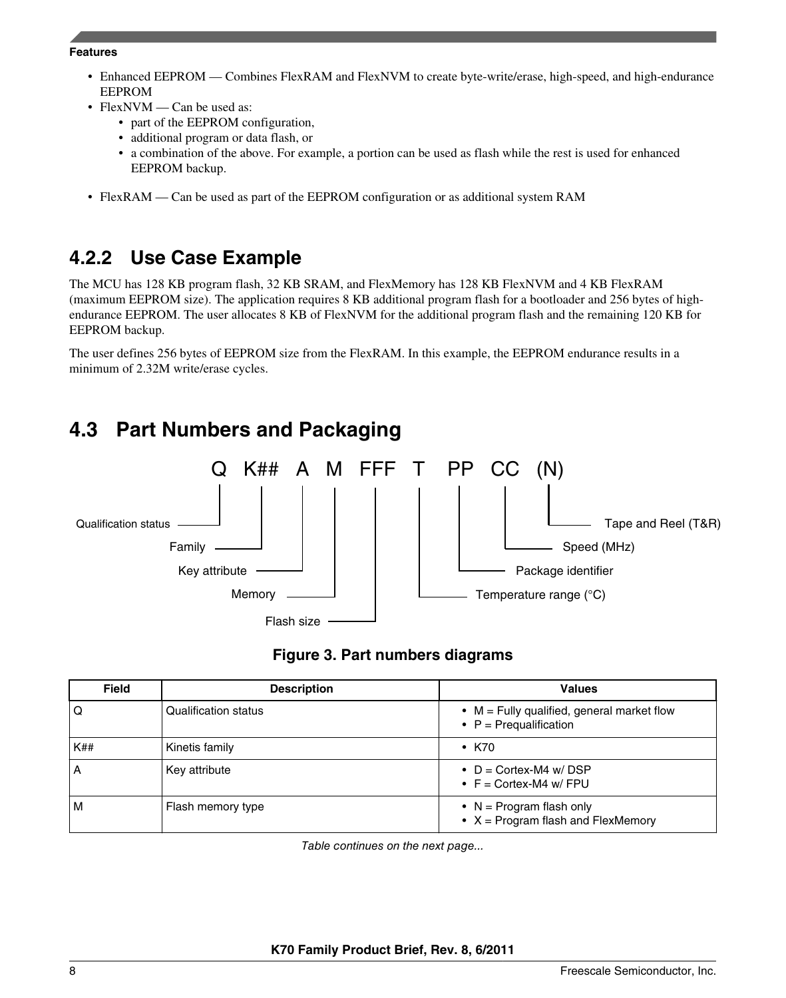#### **Features**

- Enhanced EEPROM Combines FlexRAM and FlexNVM to create byte-write/erase, high-speed, and high-endurance EEPROM
- FlexNVM Can be used as:
	- part of the EEPROM configuration,
	- additional program or data flash, or
	- a combination of the above. For example, a portion can be used as flash while the rest is used for enhanced EEPROM backup.
- FlexRAM Can be used as part of the EEPROM configuration or as additional system RAM

### **4.2.2 Use Case Example**

The MCU has 128 KB program flash, 32 KB SRAM, and FlexMemory has 128 KB FlexNVM and 4 KB FlexRAM (maximum EEPROM size). The application requires 8 KB additional program flash for a bootloader and 256 bytes of highendurance EEPROM. The user allocates 8 KB of FlexNVM for the additional program flash and the remaining 120 KB for EEPROM backup.

The user defines 256 bytes of EEPROM size from the FlexRAM. In this example, the EEPROM endurance results in a minimum of 2.32M write/erase cycles.

# **4.3 Part Numbers and Packaging**



### **Figure 3. Part numbers diagrams**

| <b>Field</b> | <b>Description</b>          | <b>Values</b>                                                                  |
|--------------|-----------------------------|--------------------------------------------------------------------------------|
| Q            | <b>Qualification status</b> | $\bullet$ M = Fully qualified, general market flow<br>• $P = Prequalification$ |
| K##          | Kinetis family              | $\cdot$ K70                                                                    |
| А            | Key attribute               | • $D =$ Cortex-M4 w/DSP<br>• $F =$ Cortex-M4 w/ FPU                            |
| м            | Flash memory type           | • $N = Program$ flash only<br>• $X = Program$ flash and FlexMemory             |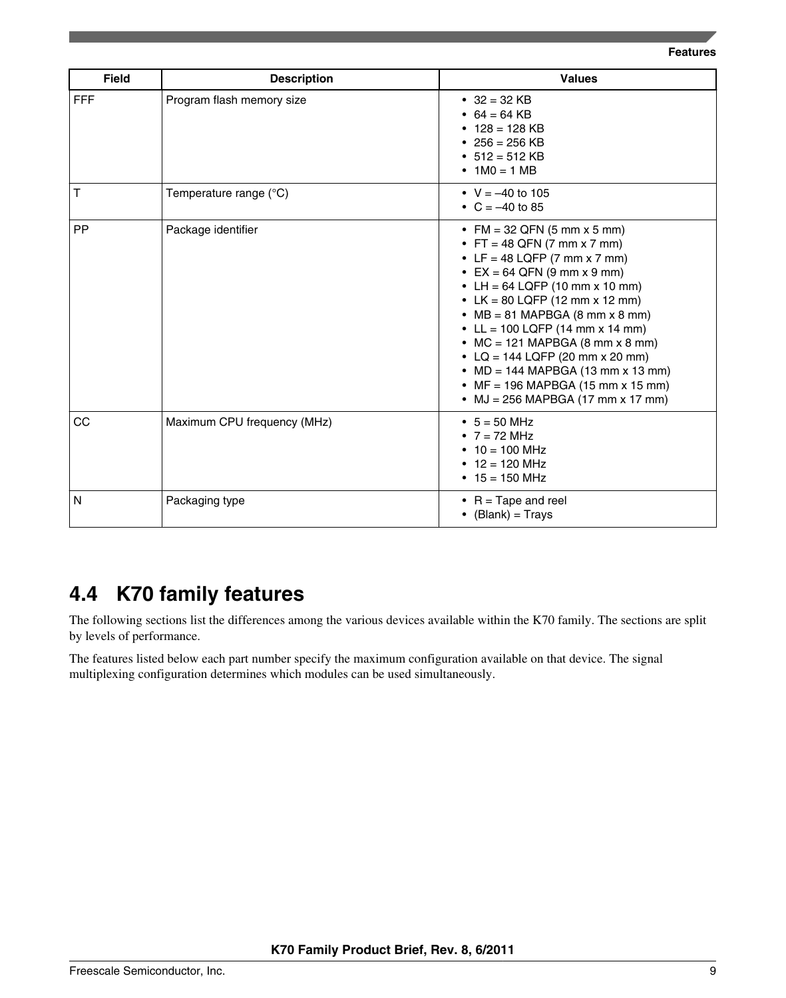**Features**

| <b>Field</b> | <b>Description</b>          | <b>Values</b>                                                                                                                                                                                                                                                                                                                                                                                                                                                      |
|--------------|-----------------------------|--------------------------------------------------------------------------------------------------------------------------------------------------------------------------------------------------------------------------------------------------------------------------------------------------------------------------------------------------------------------------------------------------------------------------------------------------------------------|
| <b>FFF</b>   | Program flash memory size   | • $32 = 32$ KB<br>• $64 = 64$ KB<br>• $128 = 128$ KB<br>• $256 = 256$ KB<br>• $512 = 512$ KB<br>• $1MO = 1MB$                                                                                                                                                                                                                                                                                                                                                      |
| Τ            | Temperature range (°C)      | • $V = -40$ to 105<br>• $C = -40$ to 85                                                                                                                                                                                                                                                                                                                                                                                                                            |
| <b>PP</b>    | Package identifier          | • FM = 32 QFN (5 mm x 5 mm)<br>• FT = 48 QFN (7 mm x 7 mm)<br>• LF = 48 LQFP (7 mm x 7 mm)<br>• EX = 64 QFN (9 mm x 9 mm)<br>• LH = $64$ LQFP (10 mm x 10 mm)<br>• LK = 80 LQFP (12 mm x 12 mm)<br>• $MB = 81$ MAPBGA (8 mm x 8 mm)<br>• LL = 100 LQFP (14 mm x 14 mm)<br>• MC = 121 MAPBGA (8 mm $\times$ 8 mm)<br>• LQ = 144 LQFP (20 mm x 20 mm)<br>• MD = 144 MAPBGA (13 mm x 13 mm)<br>• MF = 196 MAPBGA (15 mm x 15 mm)<br>• MJ = 256 MAPBGA (17 mm x 17 mm) |
| CC           | Maximum CPU frequency (MHz) | • $5 = 50$ MHz<br>• $7 = 72$ MHz<br>• $10 = 100$ MHz<br>• $12 = 120$ MHz<br>• $15 = 150$ MHz                                                                                                                                                                                                                                                                                                                                                                       |
| N            | Packaging type              | • $R = \text{Tape}$ and reel<br>• $(Blank) = Trays$                                                                                                                                                                                                                                                                                                                                                                                                                |

# **4.4 K70 family features**

The following sections list the differences among the various devices available within the K70 family. The sections are split by levels of performance.

The features listed below each part number specify the maximum configuration available on that device. The signal multiplexing configuration determines which modules can be used simultaneously.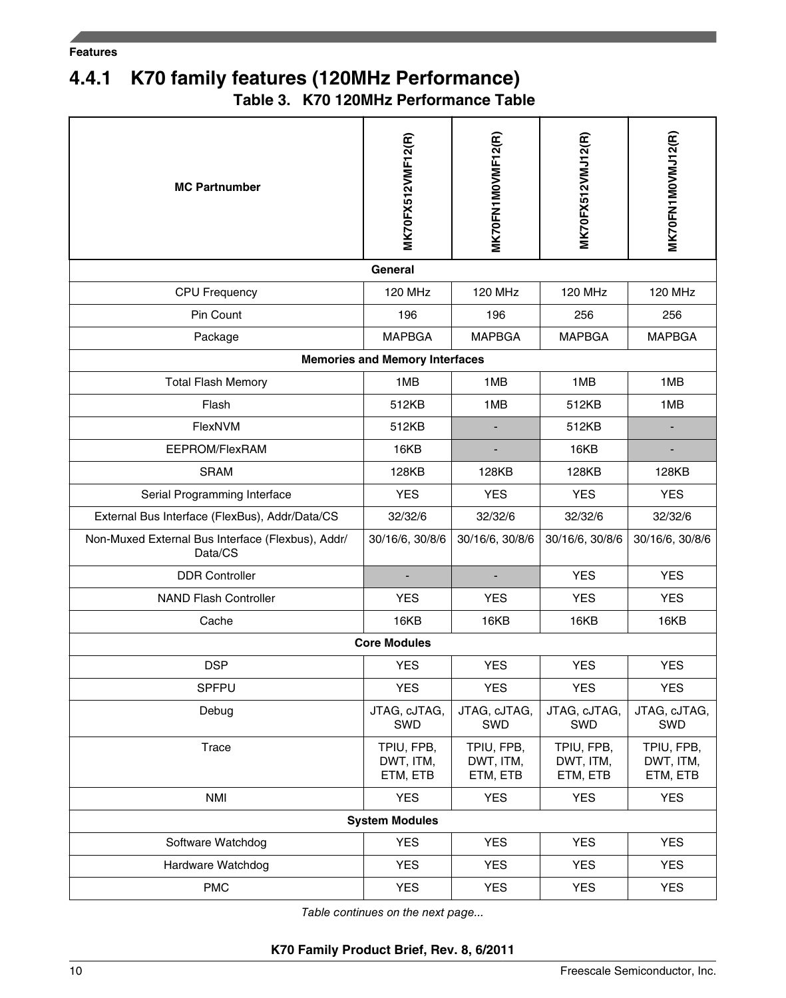# **4.4.1 K70 family features (120MHz Performance)**

**Table 3. K70 120MHz Performance Table**

| <b>MC Partnumber</b>                                         | MK70FX512VMF12(R)                     | <b>MK70FN1MOVMF12(R)</b>            | MK70FX512VMJ12(R)                   | MK70FN1M0VMJ12(R)                   |
|--------------------------------------------------------------|---------------------------------------|-------------------------------------|-------------------------------------|-------------------------------------|
|                                                              | General                               |                                     |                                     |                                     |
| <b>CPU Frequency</b>                                         | <b>120 MHz</b>                        | <b>120 MHz</b>                      | <b>120 MHz</b>                      | <b>120 MHz</b>                      |
| Pin Count                                                    | 196                                   | 196                                 | 256                                 | 256                                 |
| Package                                                      | <b>MAPBGA</b>                         | <b>MAPBGA</b>                       | <b>MAPBGA</b>                       | <b>MAPBGA</b>                       |
|                                                              | <b>Memories and Memory Interfaces</b> |                                     |                                     |                                     |
| <b>Total Flash Memory</b>                                    | 1MB                                   | 1MB                                 | 1MB                                 | 1MB                                 |
| Flash                                                        | 512KB                                 | 1MB                                 | 512KB                               | 1MB                                 |
| FlexNVM                                                      | 512KB                                 |                                     | 512KB                               |                                     |
| EEPROM/FlexRAM                                               | 16KB                                  |                                     | 16KB                                |                                     |
| <b>SRAM</b>                                                  | 128KB                                 | 128KB                               | 128KB                               | 128KB                               |
| Serial Programming Interface                                 | <b>YES</b>                            | <b>YES</b>                          | <b>YES</b>                          | <b>YES</b>                          |
| External Bus Interface (FlexBus), Addr/Data/CS               | 32/32/6                               | 32/32/6                             | 32/32/6                             | 32/32/6                             |
| Non-Muxed External Bus Interface (Flexbus), Addr/<br>Data/CS | 30/16/6, 30/8/6                       | 30/16/6, 30/8/6                     | 30/16/6, 30/8/6                     | 30/16/6, 30/8/6                     |
| <b>DDR Controller</b>                                        | $\overline{\phantom{a}}$              | $\overline{\phantom{a}}$            | <b>YES</b>                          | <b>YES</b>                          |
| <b>NAND Flash Controller</b>                                 | <b>YES</b>                            | <b>YES</b>                          | <b>YES</b>                          | <b>YES</b>                          |
| Cache                                                        | 16KB                                  | 16KB                                | 16KB                                | 16KB                                |
|                                                              | <b>Core Modules</b>                   |                                     |                                     |                                     |
| <b>DSP</b>                                                   | <b>YES</b>                            | <b>YES</b>                          | <b>YES</b>                          | <b>YES</b>                          |
| SPFPU                                                        | <b>YES</b>                            | <b>YES</b>                          | <b>YES</b>                          | <b>YES</b>                          |
| Debug                                                        | JTAG, cJTAG,<br>SWD                   | JTAG, cJTAG,<br>SWD                 | JTAG, cJTAG,<br>SWD                 | JTAG, cJTAG,<br>SWD                 |
| Trace                                                        | TPIU, FPB,<br>DWT, ITM,<br>ETM, ETB   | TPIU, FPB,<br>DWT, ITM,<br>ETM, ETB | TPIU, FPB,<br>DWT, ITM,<br>ETM, ETB | TPIU, FPB,<br>DWT, ITM,<br>ETM, ETB |
| <b>NMI</b>                                                   | <b>YES</b>                            | <b>YES</b>                          | <b>YES</b>                          | <b>YES</b>                          |
|                                                              | <b>System Modules</b>                 |                                     |                                     |                                     |
| Software Watchdog                                            | <b>YES</b>                            | YES                                 | <b>YES</b>                          | <b>YES</b>                          |
| Hardware Watchdog                                            | <b>YES</b>                            | <b>YES</b>                          | <b>YES</b>                          | <b>YES</b>                          |
| <b>PMC</b>                                                   | <b>YES</b>                            | <b>YES</b>                          | <b>YES</b>                          | <b>YES</b>                          |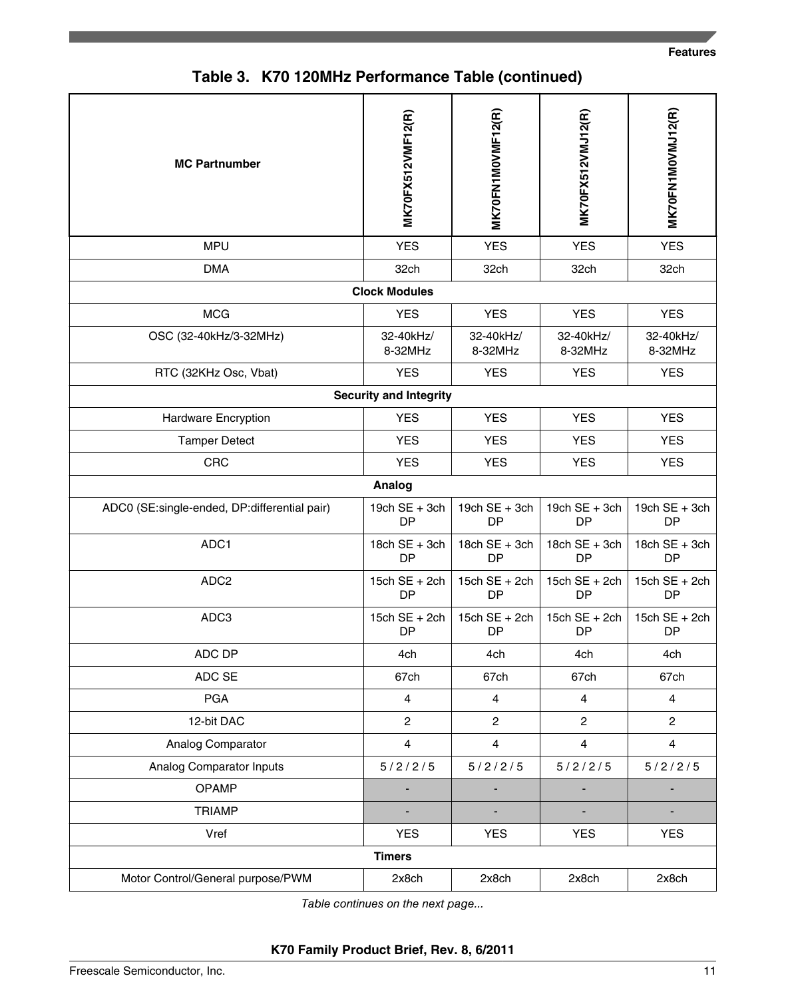|  | Table 3. K70 120MHz Performance Table (continued) |  |  |
|--|---------------------------------------------------|--|--|
|--|---------------------------------------------------|--|--|

| <b>MC Partnumber</b>                         | MK70FX512VMF12(R)                | <b>MK70FN1MOVMF12(R)</b>         | MK70FX512VMJ12(R)                | MK70FN1M0VMJ12(R)            |
|----------------------------------------------|----------------------------------|----------------------------------|----------------------------------|------------------------------|
| <b>MPU</b>                                   | <b>YES</b>                       | <b>YES</b>                       | <b>YES</b>                       | <b>YES</b>                   |
| <b>DMA</b>                                   | 32ch                             | 32ch                             | 32ch                             | 32ch                         |
|                                              | <b>Clock Modules</b>             |                                  |                                  |                              |
| <b>MCG</b>                                   | <b>YES</b>                       | <b>YES</b>                       | <b>YES</b>                       | <b>YES</b>                   |
| OSC (32-40kHz/3-32MHz)                       | 32-40kHz/<br>8-32MHz             | 32-40kHz/<br>8-32MHz             | 32-40kHz/<br>8-32MHz             | 32-40kHz/<br>8-32MHz         |
| RTC (32KHz Osc, Vbat)                        | <b>YES</b>                       | <b>YES</b>                       | <b>YES</b>                       | <b>YES</b>                   |
|                                              | <b>Security and Integrity</b>    |                                  |                                  |                              |
| Hardware Encryption                          | <b>YES</b>                       | <b>YES</b>                       | <b>YES</b>                       | <b>YES</b>                   |
| <b>Tamper Detect</b>                         | <b>YES</b>                       | <b>YES</b>                       | <b>YES</b>                       | <b>YES</b>                   |
| <b>CRC</b>                                   | <b>YES</b>                       | <b>YES</b>                       | <b>YES</b>                       | <b>YES</b>                   |
|                                              | Analog                           |                                  |                                  |                              |
| ADC0 (SE:single-ended, DP:differential pair) | 19 $ch$ SE + 3 $ch$<br><b>DP</b> | 19 $ch$ SE + 3 $ch$<br><b>DP</b> | 19 $ch$ SE + 3 $ch$<br><b>DP</b> | 19 $ch$ SE + 3 $ch$<br>DP    |
| ADC1                                         | 18ch $SE + 3ch$<br><b>DP</b>     | 18ch $SE + 3ch$<br>DP            | 18ch $SE + 3ch$<br>DP            | 18ch $SE + 3ch$<br><b>DP</b> |
| ADC <sub>2</sub>                             | 15ch $SE + 2ch$<br><b>DP</b>     | 15ch $SE + 2ch$<br>DP            | 15ch $SE + 2ch$<br><b>DP</b>     | 15ch $SE + 2ch$<br><b>DP</b> |
| ADC3                                         | 15ch $SE + 2ch$<br>DP            | 15ch $SE + 2ch$<br><b>DP</b>     | 15ch $SE + 2ch$<br>DP            | 15ch $SE + 2ch$<br>DP        |
| ADC DP                                       | 4ch                              | 4ch                              | 4ch                              | 4ch                          |
| ADC SE                                       | 67ch                             | 67ch                             | 67ch                             | 67ch                         |
| <b>PGA</b>                                   | $\overline{4}$                   | 4                                | $\overline{4}$                   | $\overline{4}$               |
| 12-bit DAC                                   | $\overline{2}$                   | $\overline{c}$                   | $\overline{2}$                   | $\overline{2}$               |
| Analog Comparator                            | $\overline{4}$                   | $\overline{4}$                   | $\overline{4}$                   | $\overline{4}$               |
| Analog Comparator Inputs                     | 5/2/2/5                          | 5/2/2/5                          | 5/2/2/5                          | 5/2/2/5                      |
| OPAMP                                        |                                  |                                  |                                  |                              |
| <b>TRIAMP</b>                                |                                  |                                  |                                  |                              |
| Vref                                         | <b>YES</b>                       | <b>YES</b>                       | <b>YES</b>                       | <b>YES</b>                   |
|                                              | <b>Timers</b>                    |                                  |                                  |                              |
| Motor Control/General purpose/PWM            | 2x8ch                            | 2x8ch                            | 2x8ch                            | 2x8ch                        |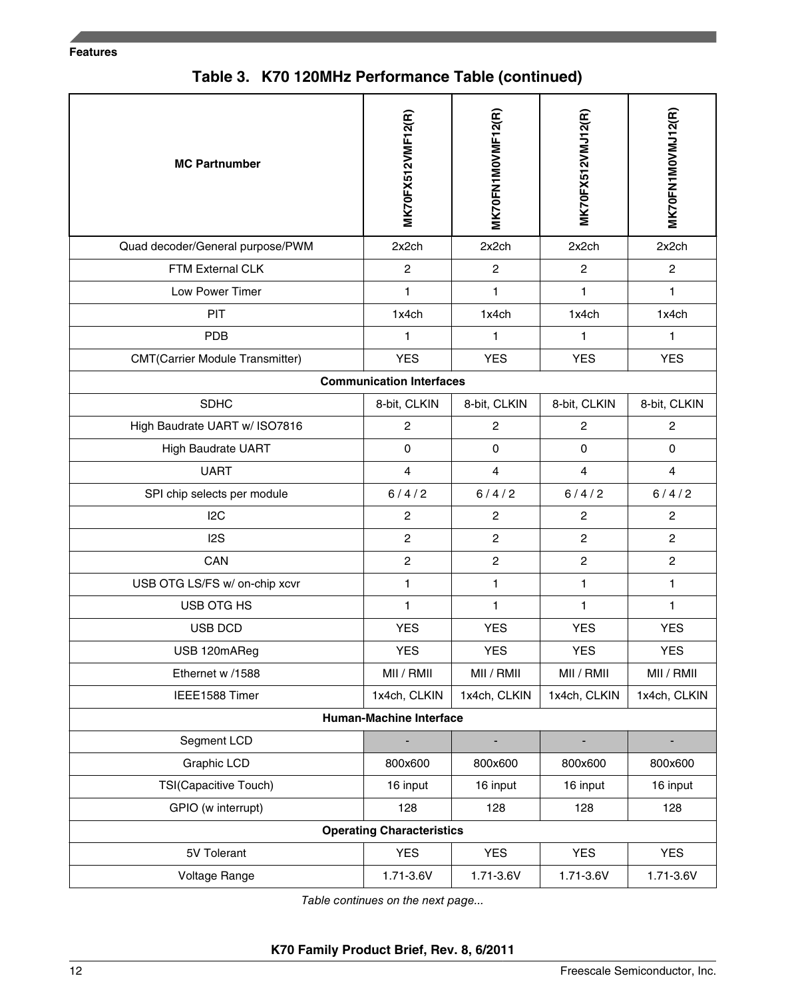#### **Features**

**Table 3. K70 120MHz Performance Table (continued)**

| <b>MC Partnumber</b>                   | <b>MK70FX512VMF12(R)</b>         | <b>MK70FN1MOVMF12(R)</b> | MK70FX512VMJ12(R) | MK70FN1M0VMJ12(R) |
|----------------------------------------|----------------------------------|--------------------------|-------------------|-------------------|
| Quad decoder/General purpose/PWM       | 2x2ch                            | 2x2ch                    | 2x2ch             | 2x2ch             |
| FTM External CLK                       | $\overline{c}$                   | $\overline{c}$           | $\overline{c}$    | $\overline{c}$    |
| Low Power Timer                        | 1                                | 1                        | 1                 | 1                 |
| <b>PIT</b>                             | 1x4ch                            | 1x4ch                    | 1x4ch             | 1x4ch             |
| <b>PDB</b>                             | 1                                | 1                        | 1                 | 1                 |
| <b>CMT(Carrier Module Transmitter)</b> | <b>YES</b>                       | <b>YES</b>               | <b>YES</b>        | <b>YES</b>        |
|                                        | <b>Communication Interfaces</b>  |                          |                   |                   |
| <b>SDHC</b>                            | 8-bit, CLKIN                     | 8-bit, CLKIN             | 8-bit, CLKIN      | 8-bit, CLKIN      |
| High Baudrate UART w/ ISO7816          | $\overline{c}$                   | $\overline{2}$           | $\overline{c}$    | $\overline{2}$    |
| <b>High Baudrate UART</b>              | 0                                | 0                        | $\mathbf 0$       | $\mathbf 0$       |
| <b>UART</b>                            | $\overline{4}$                   | $\overline{4}$           | $\overline{4}$    | $\overline{4}$    |
| SPI chip selects per module            | 6/4/2                            | 6/4/2                    | 6/4/2             | 6/4/2             |
| 12C                                    | $\overline{c}$                   | $\overline{2}$           | $\overline{c}$    | $\overline{2}$    |
| 12S                                    | $\overline{c}$                   | $\overline{2}$           | $\overline{c}$    | $\overline{2}$    |
| CAN                                    | $\overline{2}$                   | $\mathbf{2}$             | $\overline{c}$    | $\overline{2}$    |
| USB OTG LS/FS w/ on-chip xcvr          | $\mathbf{1}$                     | $\mathbf{1}$             | 1                 | 1                 |
| USB OTG HS                             | 1                                | 1                        | $\mathbf{1}$      | 1                 |
| <b>USB DCD</b>                         | <b>YES</b>                       | <b>YES</b>               | <b>YES</b>        | <b>YES</b>        |
| USB 120mAReg                           | <b>YES</b>                       | <b>YES</b>               | <b>YES</b>        | <b>YES</b>        |
| Ethernet w /1588                       | MII / RMII                       | MII / RMII               | MII / RMII        | MII / RMII        |
| IEEE1588 Timer                         | 1x4ch, CLKIN                     | 1x4ch, CLKIN             | 1x4ch, CLKIN      | 1x4ch, CLKIN      |
|                                        | <b>Human-Machine Interface</b>   |                          |                   |                   |
| Segment LCD                            |                                  |                          |                   |                   |
| Graphic LCD                            | 800x600                          | 800x600                  | 800x600           | 800x600           |
| TSI(Capacitive Touch)                  | 16 input                         | 16 input                 | 16 input          | 16 input          |
| GPIO (w interrupt)                     | 128                              | 128                      | 128               | 128               |
|                                        | <b>Operating Characteristics</b> |                          |                   |                   |
| 5V Tolerant                            | <b>YES</b>                       | <b>YES</b>               | <b>YES</b>        | <b>YES</b>        |
| Voltage Range                          | 1.71-3.6V                        | 1.71-3.6V                | 1.71-3.6V         | 1.71-3.6V         |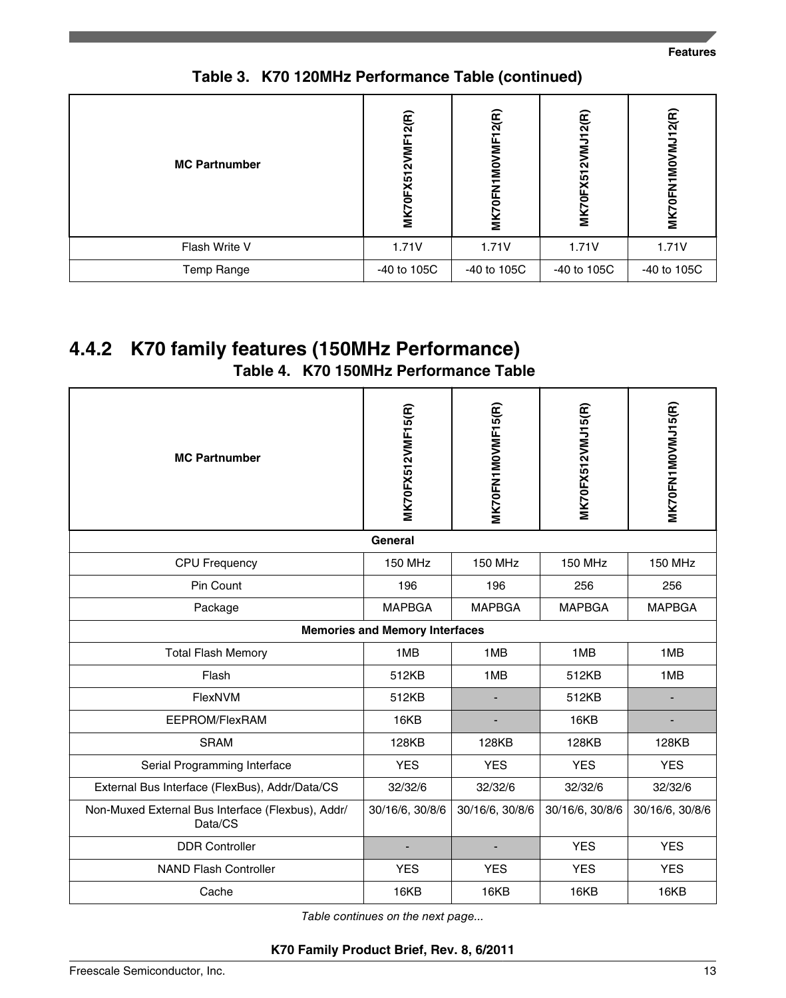| <b>MC Partnumber</b> | MK70FX512VMF12(R) | 2(R)<br>Ξ<br><b>DFN1MO</b><br><b>ZNIN</b> | (2(R))<br>$\bar{z}$<br>Ñ<br>X51<br>Ξ | MK70FN1MOVMJ12(R) |
|----------------------|-------------------|-------------------------------------------|--------------------------------------|-------------------|
| Flash Write V        | 1.71V             | 1.71V                                     | 1.71V                                | 1.71V             |
| Temp Range           | -40 to 105C       | -40 to 105C                               | -40 to 105C                          | -40 to 105C       |

**Table 3. K70 120MHz Performance Table (continued)**

# **4.4.2 K70 family features (150MHz Performance)**

**Table 4. K70 150MHz Performance Table**

| <b>MC Partnumber</b>                                         | MK70FX512VMF15(R)                     | <b>MK70FN1MOVMF15(R)</b> | MK70FX512VMJ15(R) | MK70FN1M0VMJ15(R) |
|--------------------------------------------------------------|---------------------------------------|--------------------------|-------------------|-------------------|
|                                                              | <b>General</b>                        |                          |                   |                   |
| <b>CPU Frequency</b>                                         | <b>150 MHz</b>                        | <b>150 MHz</b>           | <b>150 MHz</b>    | <b>150 MHz</b>    |
| Pin Count                                                    | 196                                   | 196                      | 256               | 256               |
| Package                                                      | <b>MAPBGA</b>                         | <b>MAPBGA</b>            | <b>MAPBGA</b>     | <b>MAPBGA</b>     |
|                                                              | <b>Memories and Memory Interfaces</b> |                          |                   |                   |
| <b>Total Flash Memory</b>                                    | 1MB                                   | 1MB                      | 1MB               | 1MB               |
| Flash                                                        | 512KB                                 | 1MB                      | 512KB             | 1MB               |
| FlexNVM                                                      | 512KB                                 |                          | 512KB             |                   |
| EEPROM/FlexRAM                                               | 16KB                                  |                          | 16KB              |                   |
| <b>SRAM</b>                                                  | 128KB                                 | 128KB                    | 128KB             | 128KB             |
| Serial Programming Interface                                 | <b>YES</b>                            | <b>YES</b>               | <b>YES</b>        | <b>YES</b>        |
| External Bus Interface (FlexBus), Addr/Data/CS               | 32/32/6                               | 32/32/6                  | 32/32/6           | 32/32/6           |
| Non-Muxed External Bus Interface (Flexbus), Addr/<br>Data/CS | 30/16/6, 30/8/6                       | 30/16/6, 30/8/6          | 30/16/6, 30/8/6   | 30/16/6, 30/8/6   |
| <b>DDR Controller</b>                                        |                                       |                          | <b>YES</b>        | <b>YES</b>        |
| <b>NAND Flash Controller</b>                                 | <b>YES</b>                            | <b>YES</b>               | <b>YES</b>        | <b>YES</b>        |
| Cache                                                        | 16KB                                  | 16KB                     | 16KB              | 16KB              |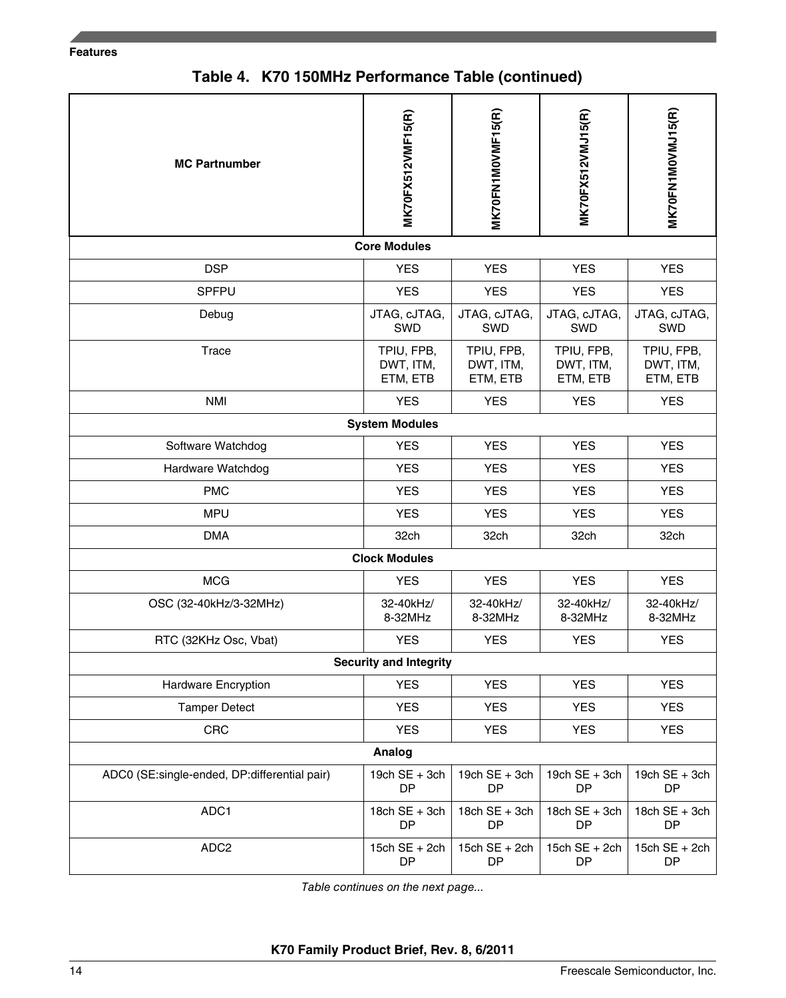#### **Features**

**Table 4. K70 150MHz Performance Table (continued)**

| <b>MC Partnumber</b>                         | <b>MK70FX512VMF15(R)</b>            | MK70FN1MOVMF15(R)                   | MK70FX512VMJ15(R)                   | MK70FN1M0VMJ15(R)                   |
|----------------------------------------------|-------------------------------------|-------------------------------------|-------------------------------------|-------------------------------------|
|                                              | <b>Core Modules</b>                 |                                     |                                     |                                     |
| <b>DSP</b>                                   | <b>YES</b>                          | <b>YES</b>                          | <b>YES</b>                          | <b>YES</b>                          |
| <b>SPFPU</b>                                 | <b>YES</b>                          | <b>YES</b>                          | <b>YES</b>                          | <b>YES</b>                          |
| Debug                                        | JTAG, cJTAG,<br>SWD                 | JTAG, cJTAG,<br>SWD                 | JTAG, cJTAG,<br>SWD                 | JTAG, cJTAG,<br>SWD                 |
| Trace                                        | TPIU, FPB,<br>DWT, ITM,<br>ETM, ETB | TPIU, FPB,<br>DWT, ITM,<br>ETM, ETB | TPIU, FPB,<br>DWT, ITM,<br>ETM, ETB | TPIU, FPB,<br>DWT, ITM,<br>ETM, ETB |
| <b>NMI</b>                                   | <b>YES</b>                          | <b>YES</b>                          | <b>YES</b>                          | <b>YES</b>                          |
|                                              | <b>System Modules</b>               |                                     |                                     |                                     |
| Software Watchdog                            | <b>YES</b>                          | <b>YES</b>                          | <b>YES</b>                          | <b>YES</b>                          |
| Hardware Watchdog                            | <b>YES</b>                          | <b>YES</b>                          | <b>YES</b>                          | <b>YES</b>                          |
| <b>PMC</b>                                   | <b>YES</b>                          | <b>YES</b>                          | <b>YES</b>                          | <b>YES</b>                          |
| <b>MPU</b>                                   | <b>YES</b>                          | <b>YES</b>                          | <b>YES</b>                          | <b>YES</b>                          |
| <b>DMA</b>                                   | 32ch                                | 32ch                                | 32ch                                | 32ch                                |
|                                              | <b>Clock Modules</b>                |                                     |                                     |                                     |
| <b>MCG</b>                                   | <b>YES</b>                          | <b>YES</b>                          | <b>YES</b>                          | <b>YES</b>                          |
| OSC (32-40kHz/3-32MHz)                       | 32-40kHz/<br>8-32MHz                | 32-40kHz/<br>8-32MHz                | 32-40kHz/<br>8-32MHz                | 32-40kHz/<br>8-32MHz                |
| RTC (32KHz Osc, Vbat)                        | <b>YES</b>                          | <b>YES</b>                          | <b>YES</b>                          | <b>YES</b>                          |
|                                              | <b>Security and Integrity</b>       |                                     |                                     |                                     |
| Hardware Encryption                          | <b>YES</b>                          | <b>YES</b>                          | <b>YES</b>                          | <b>YES</b>                          |
| <b>Tamper Detect</b>                         | YES                                 | <b>YES</b>                          | <b>YES</b>                          | <b>YES</b>                          |
| CRC                                          | <b>YES</b>                          | <b>YES</b>                          | <b>YES</b>                          | <b>YES</b>                          |
|                                              | Analog                              |                                     |                                     |                                     |
| ADC0 (SE:single-ended, DP:differential pair) | 19 $ch$ SE + 3 $ch$<br>DP           | 19 $ch$ SE + 3 $ch$<br><b>DP</b>    | 19 $ch$ SE + 3 $ch$<br><b>DP</b>    | 19 $ch$ SE + 3 $ch$<br>DP           |
| ADC1                                         | $18$ ch $SE + 3$ ch<br>DP           | $18ch SE + 3ch$<br>DP               | 18ch $SE + 3ch$<br>DP               | 18ch $SE + 3ch$<br>DP               |
| ADC <sub>2</sub>                             | 15ch $SE + 2ch$<br><b>DP</b>        | 15ch $SE + 2ch$<br><b>DP</b>        | 15ch $SE + 2ch$<br><b>DP</b>        | 15ch $SE + 2ch$<br>DP               |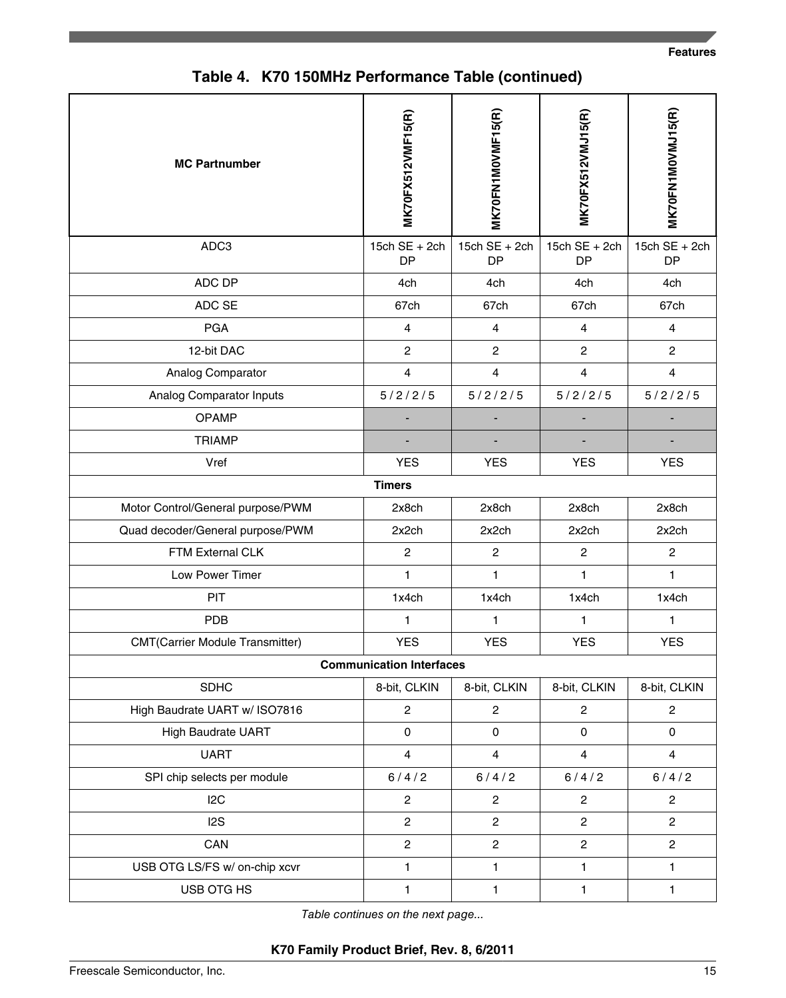| <b>MC Partnumber</b>                   | MK70FX512VMF15(R)               | <b>MK70FN1MOVMF15(R)</b>     | MK70FX512VMJ15(R)            | MK70FN1M0VMJ15(R)            |
|----------------------------------------|---------------------------------|------------------------------|------------------------------|------------------------------|
| ADC3                                   | 15ch $SE + 2ch$<br><b>DP</b>    | 15ch $SE + 2ch$<br><b>DP</b> | 15ch $SE + 2ch$<br><b>DP</b> | 15ch $SE + 2ch$<br><b>DP</b> |
| ADC DP                                 | 4ch                             | 4ch                          | 4ch                          | 4ch                          |
| ADC SE                                 | 67ch                            | 67ch                         | 67ch                         | 67ch                         |
| <b>PGA</b>                             | $\overline{\mathbf{4}}$         | $\overline{4}$               | $\overline{4}$               | $\overline{4}$               |
| 12-bit DAC                             | $\overline{c}$                  | $\overline{c}$               | $\mathbf{2}$                 | $\overline{c}$               |
| Analog Comparator                      | $\overline{\mathbf{4}}$         | $\overline{4}$               | $\overline{4}$               | $\overline{4}$               |
| Analog Comparator Inputs               | 5/2/2/5                         | 5/2/2/5                      | 5/2/2/5                      | 5/2/2/5                      |
| <b>OPAMP</b>                           |                                 |                              |                              |                              |
| <b>TRIAMP</b>                          |                                 |                              |                              |                              |
| Vref                                   | <b>YES</b>                      | <b>YES</b>                   | <b>YES</b>                   | <b>YES</b>                   |
|                                        | <b>Timers</b>                   |                              |                              |                              |
| Motor Control/General purpose/PWM      | 2x8ch                           | 2x8ch                        | 2x8ch                        | 2x8ch                        |
| Quad decoder/General purpose/PWM       | 2x2ch                           | 2x2ch                        | 2x2ch                        | 2x2ch                        |
| FTM External CLK                       | $\overline{c}$                  | $\overline{c}$               | $\overline{c}$               | $\overline{c}$               |
| Low Power Timer                        | $\mathbf{1}$                    | 1                            | 1                            | 1                            |
| PIT                                    | 1x4ch                           | 1x4ch                        | 1x4ch                        | 1x4ch                        |
| <b>PDB</b>                             | 1                               | $\mathbf{1}$                 | $\mathbf{1}$                 | $\mathbf{1}$                 |
| <b>CMT(Carrier Module Transmitter)</b> | <b>YES</b>                      | <b>YES</b>                   | <b>YES</b>                   | <b>YES</b>                   |
|                                        | <b>Communication Interfaces</b> |                              |                              |                              |
| <b>SDHC</b>                            | 8-bit, CLKIN                    | 8-bit, CLKIN                 | 8-bit, CLKIN                 | 8-bit, CLKIN                 |
| High Baudrate UART w/ ISO7816          | $\overline{c}$                  | $\overline{c}$               | $\overline{c}$               | $\overline{c}$               |
| <b>High Baudrate UART</b>              | $\pmb{0}$                       | $\mathsf 0$                  | $\pmb{0}$                    | 0                            |
| <b>UART</b>                            | $\overline{\mathbf{4}}$         | $\overline{4}$               | $\overline{4}$               | $\overline{4}$               |
| SPI chip selects per module            | 6/4/2                           | 6/4/2                        | 6/4/2                        | 6/4/2                        |
| 12C                                    | $\overline{c}$                  | $\overline{c}$               | $\mathbf{2}$                 | $\mathbf{2}$                 |
| 12S                                    | $\overline{c}$                  | $\overline{c}$               | $\overline{c}$               | $\overline{a}$               |
| CAN                                    | $\overline{\mathbf{c}}$         | $\overline{c}$               | $\overline{c}$               | $\overline{c}$               |
| USB OTG LS/FS w/ on-chip xcvr          | $\mathbf{1}$                    | $\mathbf{1}$                 | $\mathbf{1}$                 | 1                            |

**Table 4. K70 150MHz Performance Table (continued)**

*Table continues on the next page...*

USB OTG HS 1 1 1 1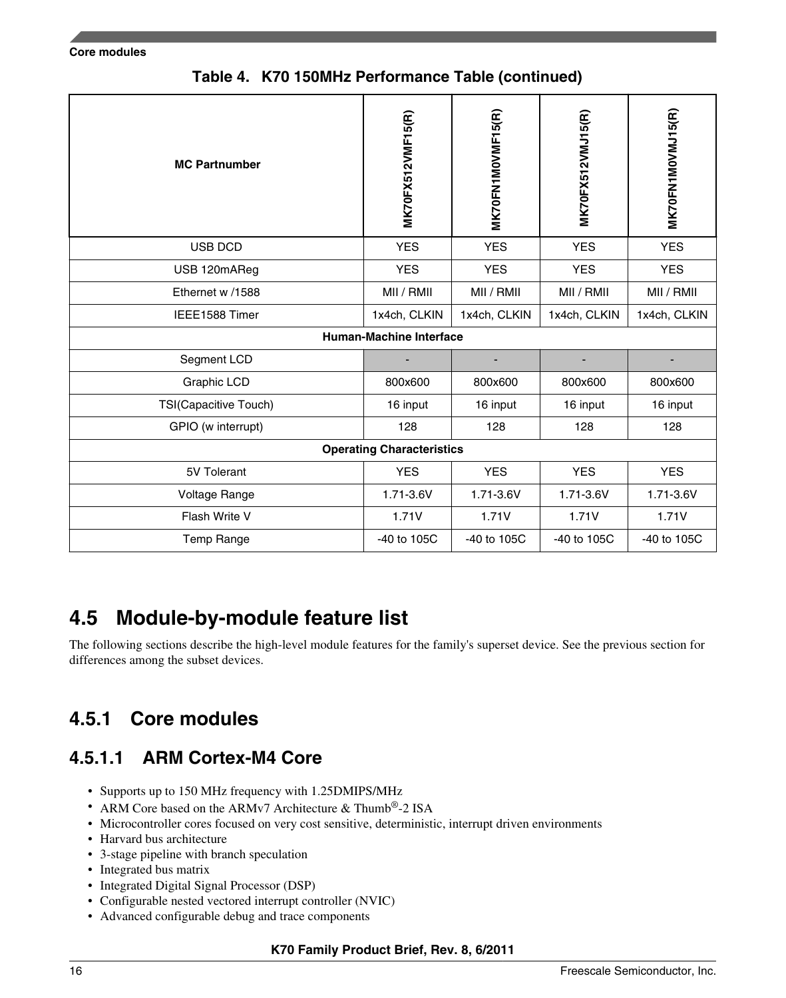**Core modules**

| <b>MC Partnumber</b>  | <b>MK70FX512VMF15(R)</b>         | <b>MK70FN1MOVMF15(R)</b> | MK70FX512VMJ15(R) | MK70FN1M0VMJ15(R) |
|-----------------------|----------------------------------|--------------------------|-------------------|-------------------|
| USB DCD               | <b>YES</b>                       | <b>YES</b>               | <b>YES</b>        | <b>YES</b>        |
| USB 120mAReg          | <b>YES</b>                       | <b>YES</b>               | <b>YES</b>        | <b>YES</b>        |
| Ethernet w /1588      | MII / RMII                       | MII / RMII               | MII / RMII        | MII / RMII        |
| IEEE1588 Timer        | 1x4ch, CLKIN                     | 1x4ch, CLKIN             | 1x4ch, CLKIN      | 1x4ch, CLKIN      |
|                       | <b>Human-Machine Interface</b>   |                          |                   |                   |
| Segment LCD           |                                  |                          |                   |                   |
| Graphic LCD           | 800x600                          | 800x600                  | 800x600           | 800x600           |
| TSI(Capacitive Touch) | 16 input                         | 16 input                 | 16 input          | 16 input          |
| GPIO (w interrupt)    | 128                              | 128                      | 128               | 128               |
|                       | <b>Operating Characteristics</b> |                          |                   |                   |
| 5V Tolerant           | <b>YES</b>                       | <b>YES</b>               | <b>YES</b>        | <b>YES</b>        |
| Voltage Range         | 1.71-3.6V                        | 1.71-3.6V                | 1.71-3.6V         | 1.71-3.6V         |
| Flash Write V         | 1.71V                            | 1.71V                    | 1.71V             | 1.71V             |
| Temp Range            | -40 to 105C                      | $-40$ to $105C$          | -40 to 105C       | -40 to 105C       |

**Table 4. K70 150MHz Performance Table (continued)**

# **4.5 Module-by-module feature list**

The following sections describe the high-level module features for the family's superset device. See the previous section for differences among the subset devices.

#### **Core modules 4.5.1**

### **4.5.1.1 ARM Cortex-M4 Core**

- Supports up to 150 MHz frequency with 1.25DMIPS/MHz
- ARM Core based on the ARMv7 Architecture & Thumb®-2 ISA
- Microcontroller cores focused on very cost sensitive, deterministic, interrupt driven environments
- Harvard bus architecture
- 3-stage pipeline with branch speculation
- Integrated bus matrix
- Integrated Digital Signal Processor (DSP)
- Configurable nested vectored interrupt controller (NVIC)
- Advanced configurable debug and trace components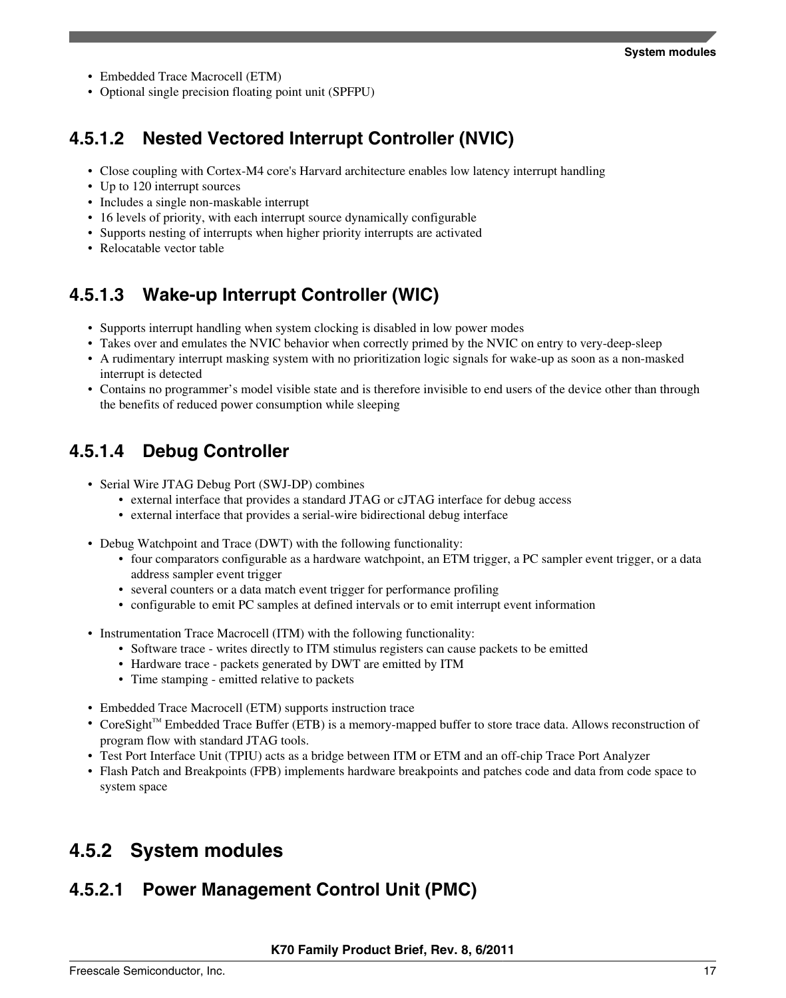- Embedded Trace Macrocell (ETM)
- Optional single precision floating point unit (SPFPU)

### **4.5.1.2 Nested Vectored Interrupt Controller (NVIC)**

- Close coupling with Cortex-M4 core's Harvard architecture enables low latency interrupt handling
- Up to 120 interrupt sources
- Includes a single non-maskable interrupt
- 16 levels of priority, with each interrupt source dynamically configurable
- Supports nesting of interrupts when higher priority interrupts are activated
- Relocatable vector table

## **4.5.1.3 Wake-up Interrupt Controller (WIC)**

- Supports interrupt handling when system clocking is disabled in low power modes
- Takes over and emulates the NVIC behavior when correctly primed by the NVIC on entry to very-deep-sleep
- A rudimentary interrupt masking system with no prioritization logic signals for wake-up as soon as a non-masked interrupt is detected
- Contains no programmer's model visible state and is therefore invisible to end users of the device other than through the benefits of reduced power consumption while sleeping

### **4.5.1.4 Debug Controller**

- Serial Wire JTAG Debug Port (SWJ-DP) combines
	- external interface that provides a standard JTAG or cJTAG interface for debug access
	- external interface that provides a serial-wire bidirectional debug interface
- Debug Watchpoint and Trace (DWT) with the following functionality:
	- four comparators configurable as a hardware watchpoint, an ETM trigger, a PC sampler event trigger, or a data address sampler event trigger
	- several counters or a data match event trigger for performance profiling
	- configurable to emit PC samples at defined intervals or to emit interrupt event information
- Instrumentation Trace Macrocell (ITM) with the following functionality:
	- Software trace writes directly to ITM stimulus registers can cause packets to be emitted
	- Hardware trace packets generated by DWT are emitted by ITM
	- Time stamping emitted relative to packets
- Embedded Trace Macrocell (ETM) supports instruction trace
- CoreSight™ Embedded Trace Buffer (ETB) is a memory-mapped buffer to store trace data. Allows reconstruction of program flow with standard JTAG tools.
- Test Port Interface Unit (TPIU) acts as a bridge between ITM or ETM and an off-chip Trace Port Analyzer
- Flash Patch and Breakpoints (FPB) implements hardware breakpoints and patches code and data from code space to system space

## **System modules 4.5.2**

### **4.5.2.1 Power Management Control Unit (PMC)**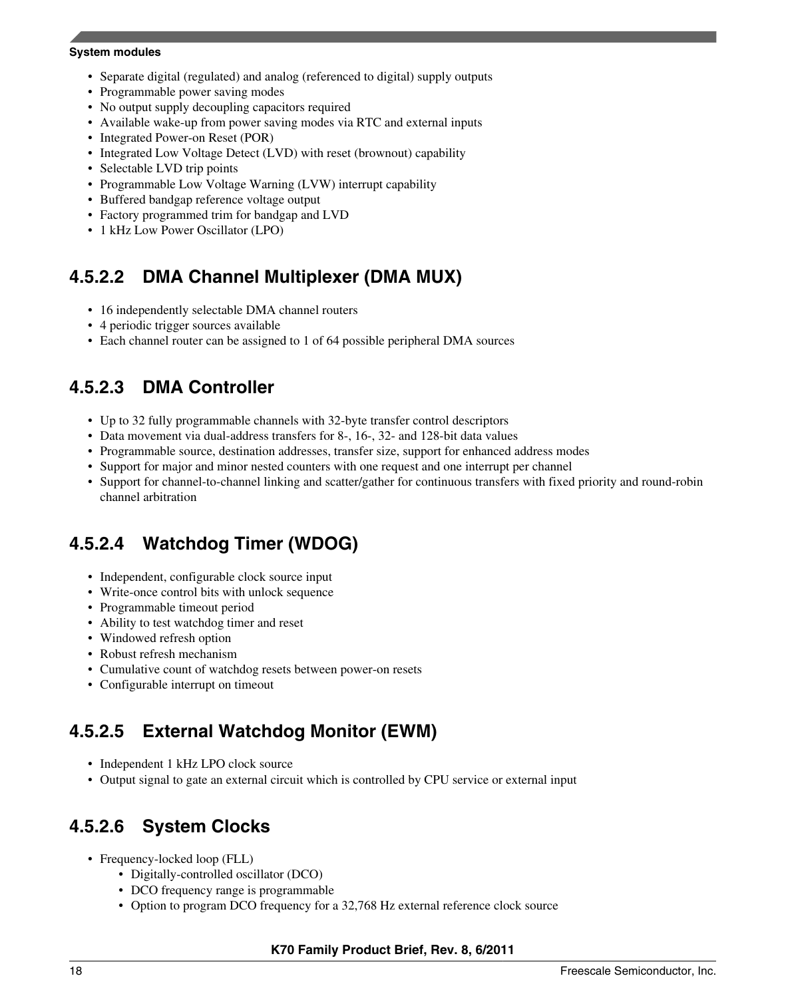#### **System modules**

- Separate digital (regulated) and analog (referenced to digital) supply outputs
- Programmable power saving modes
- No output supply decoupling capacitors required
- Available wake-up from power saving modes via RTC and external inputs
- Integrated Power-on Reset (POR)
- Integrated Low Voltage Detect (LVD) with reset (brownout) capability
- Selectable LVD trip points
- Programmable Low Voltage Warning (LVW) interrupt capability
- Buffered bandgap reference voltage output
- Factory programmed trim for bandgap and LVD
- 1 kHz Low Power Oscillator (LPO)

### **4.5.2.2 DMA Channel Multiplexer (DMA MUX)**

- 16 independently selectable DMA channel routers
- 4 periodic trigger sources available
- Each channel router can be assigned to 1 of 64 possible peripheral DMA sources

### **4.5.2.3 DMA Controller**

- Up to 32 fully programmable channels with 32-byte transfer control descriptors
- Data movement via dual-address transfers for 8-, 16-, 32- and 128-bit data values
- Programmable source, destination addresses, transfer size, support for enhanced address modes
- Support for major and minor nested counters with one request and one interrupt per channel
- Support for channel-to-channel linking and scatter/gather for continuous transfers with fixed priority and round-robin channel arbitration

### **4.5.2.4 Watchdog Timer (WDOG)**

- Independent, configurable clock source input
- Write-once control bits with unlock sequence
- Programmable timeout period
- Ability to test watchdog timer and reset
- Windowed refresh option
- Robust refresh mechanism
- Cumulative count of watchdog resets between power-on resets
- Configurable interrupt on timeout

### **4.5.2.5 External Watchdog Monitor (EWM)**

- Independent 1 kHz LPO clock source
- Output signal to gate an external circuit which is controlled by CPU service or external input

### **4.5.2.6 System Clocks**

- Frequency-locked loop (FLL)
	- Digitally-controlled oscillator (DCO)
	- DCO frequency range is programmable
	- Option to program DCO frequency for a 32,768 Hz external reference clock source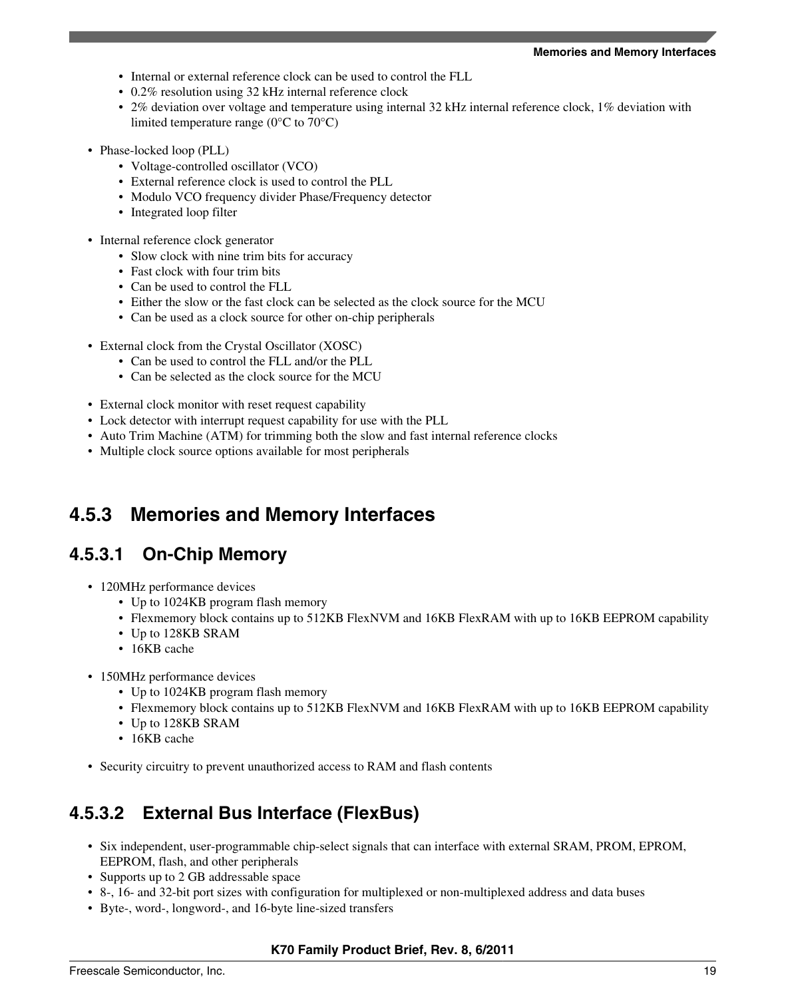#### **Memories and Memory Interfaces**

- Internal or external reference clock can be used to control the FLL
- 0.2% resolution using 32 kHz internal reference clock
- 2% deviation over voltage and temperature using internal 32 kHz internal reference clock, 1% deviation with limited temperature range ( $0^{\circ}$ C to  $70^{\circ}$ C)
- Phase-locked loop (PLL)
	- Voltage-controlled oscillator (VCO)
	- External reference clock is used to control the PLL
	- Modulo VCO frequency divider Phase/Frequency detector
	- Integrated loop filter
- Internal reference clock generator
	- Slow clock with nine trim bits for accuracy
	- Fast clock with four trim bits
	- Can be used to control the FLL
	- Either the slow or the fast clock can be selected as the clock source for the MCU
	- Can be used as a clock source for other on-chip peripherals
- External clock from the Crystal Oscillator (XOSC)
	- Can be used to control the FLL and/or the PLL
	- Can be selected as the clock source for the MCU
- External clock monitor with reset request capability
- Lock detector with interrupt request capability for use with the PLL
- Auto Trim Machine (ATM) for trimming both the slow and fast internal reference clocks
- Multiple clock source options available for most peripherals

#### **Memories and Memory Interfaces 4.5.3**

### **4.5.3.1 On-Chip Memory**

- 120MHz performance devices
	- Up to 1024KB program flash memory
	- Flexmemory block contains up to 512KB FlexNVM and 16KB FlexRAM with up to 16KB EEPROM capability
	- Up to 128KB SRAM
	- 16KB cache
- 150MHz performance devices
	- Up to 1024KB program flash memory
	- Flexmemory block contains up to 512KB FlexNVM and 16KB FlexRAM with up to 16KB EEPROM capability
	- Up to 128KB SRAM
	- 16KB cache
- Security circuitry to prevent unauthorized access to RAM and flash contents

### **4.5.3.2 External Bus Interface (FlexBus)**

- Six independent, user-programmable chip-select signals that can interface with external SRAM, PROM, EPROM, EEPROM, flash, and other peripherals
- Supports up to 2 GB addressable space
- 8-, 16- and 32-bit port sizes with configuration for multiplexed or non-multiplexed address and data buses
- Byte-, word-, longword-, and 16-byte line-sized transfers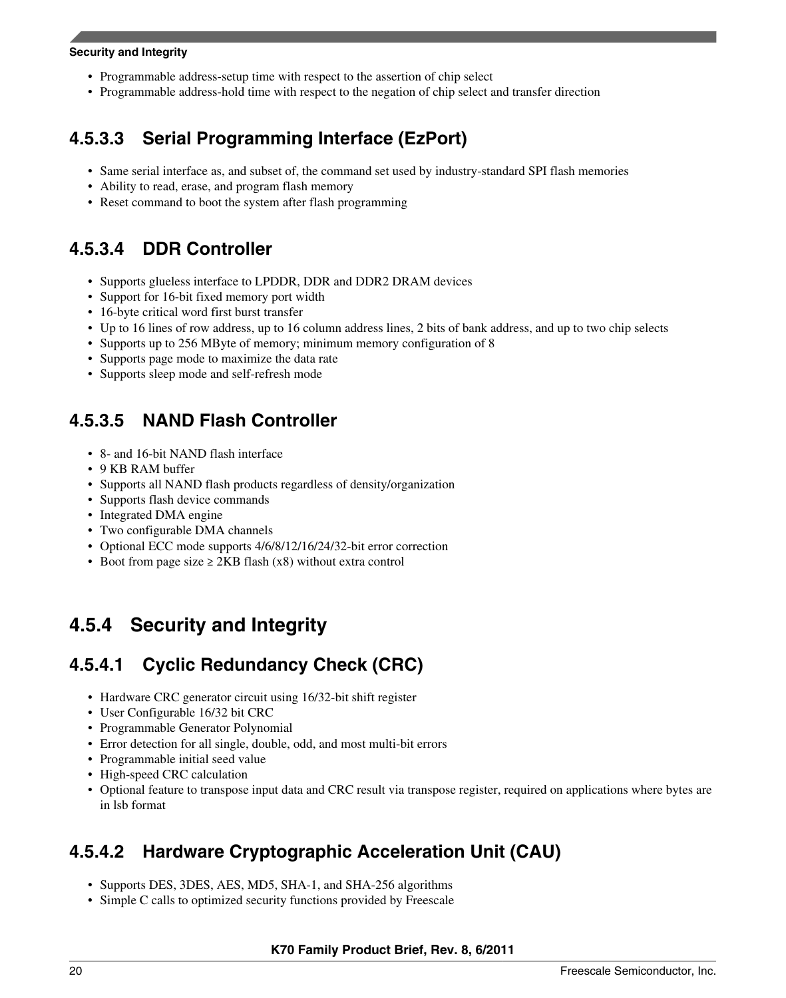#### **Security and Integrity**

- Programmable address-setup time with respect to the assertion of chip select
- Programmable address-hold time with respect to the negation of chip select and transfer direction

### **4.5.3.3 Serial Programming Interface (EzPort)**

- Same serial interface as, and subset of, the command set used by industry-standard SPI flash memories
- Ability to read, erase, and program flash memory
- Reset command to boot the system after flash programming

### **4.5.3.4 DDR Controller**

- Supports glueless interface to LPDDR, DDR and DDR2 DRAM devices
- Support for 16-bit fixed memory port width
- 16-byte critical word first burst transfer
- Up to 16 lines of row address, up to 16 column address lines, 2 bits of bank address, and up to two chip selects
- Supports up to 256 MByte of memory; minimum memory configuration of 8
- Supports page mode to maximize the data rate
- Supports sleep mode and self-refresh mode

### **4.5.3.5 NAND Flash Controller**

- 8- and 16-bit NAND flash interface
- 9 KB RAM buffer
- Supports all NAND flash products regardless of density/organization
- Supports flash device commands
- Integrated DMA engine
- Two configurable DMA channels
- Optional ECC mode supports 4/6/8/12/16/24/32-bit error correction
- Boot from page size  $\geq$  2KB flash (x8) without extra control

## **4.5.4 Security and Integrity**

### **4.5.4.1 Cyclic Redundancy Check (CRC)**

- Hardware CRC generator circuit using 16/32-bit shift register
- User Configurable 16/32 bit CRC
- Programmable Generator Polynomial
- Error detection for all single, double, odd, and most multi-bit errors
- Programmable initial seed value
- High-speed CRC calculation
- Optional feature to transpose input data and CRC result via transpose register, required on applications where bytes are in lsb format

### **4.5.4.2 Hardware Cryptographic Acceleration Unit (CAU)**

- Supports DES, 3DES, AES, MD5, SHA-1, and SHA-256 algorithms
- Simple C calls to optimized security functions provided by Freescale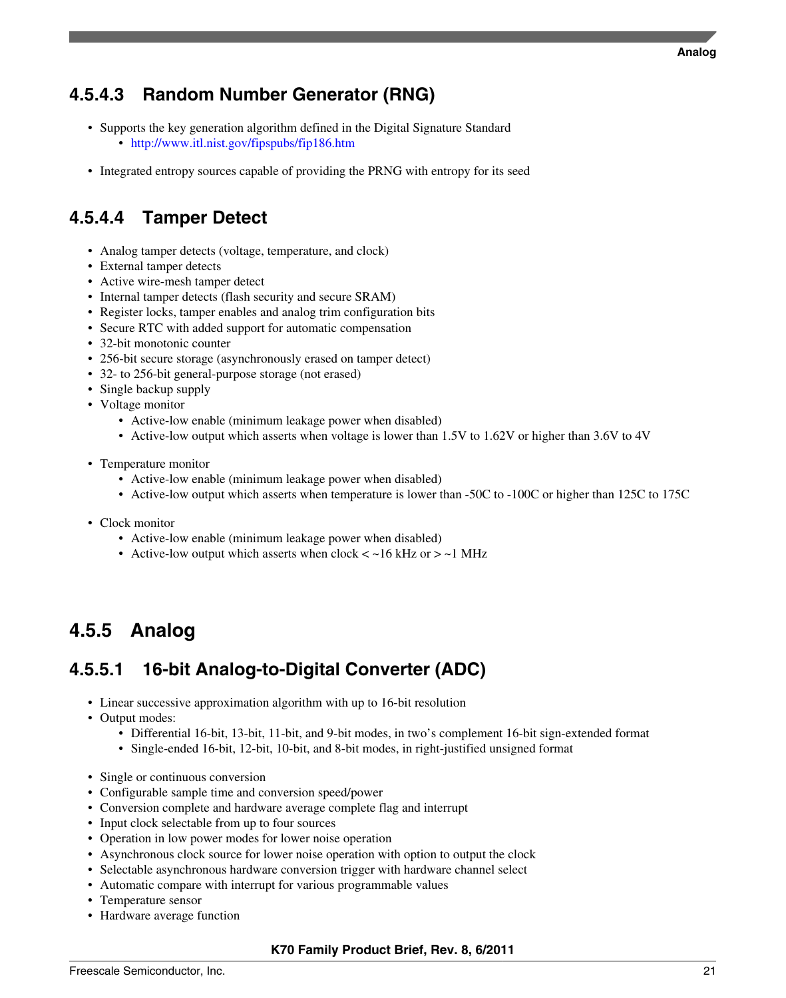### **4.5.4.3 Random Number Generator (RNG)**

- Supports the key generation algorithm defined in the Digital Signature Standard • <http://www.itl.nist.gov/fipspubs/fip186.htm>
- Integrated entropy sources capable of providing the PRNG with entropy for its seed

### **4.5.4.4 Tamper Detect**

- Analog tamper detects (voltage, temperature, and clock)
- External tamper detects
- Active wire-mesh tamper detect
- Internal tamper detects (flash security and secure SRAM)
- Register locks, tamper enables and analog trim configuration bits
- Secure RTC with added support for automatic compensation
- 32-bit monotonic counter
- 256-bit secure storage (asynchronously erased on tamper detect)
- 32- to 256-bit general-purpose storage (not erased)
- Single backup supply
- Voltage monitor
	- Active-low enable (minimum leakage power when disabled)
	- Active-low output which asserts when voltage is lower than 1.5V to 1.62V or higher than 3.6V to 4V
- Temperature monitor
	- Active-low enable (minimum leakage power when disabled)
	- Active-low output which asserts when temperature is lower than -50C to -100C or higher than 125C to 175C
- Clock monitor
	- Active-low enable (minimum leakage power when disabled)
	- Active-low output which asserts when  $clock < -16$  kHz or  $> -1$  MHz

# **Analog 4.5.5**

## **4.5.5.1 16-bit Analog-to-Digital Converter (ADC)**

- Linear successive approximation algorithm with up to 16-bit resolution
- Output modes:
	- Differential 16-bit, 13-bit, 11-bit, and 9-bit modes, in two's complement 16-bit sign-extended format
	- Single-ended 16-bit, 12-bit, 10-bit, and 8-bit modes, in right-justified unsigned format
- Single or continuous conversion
- Configurable sample time and conversion speed/power
- Conversion complete and hardware average complete flag and interrupt
- Input clock selectable from up to four sources
- Operation in low power modes for lower noise operation
- Asynchronous clock source for lower noise operation with option to output the clock
- Selectable asynchronous hardware conversion trigger with hardware channel select
- Automatic compare with interrupt for various programmable values
- Temperature sensor
- Hardware average function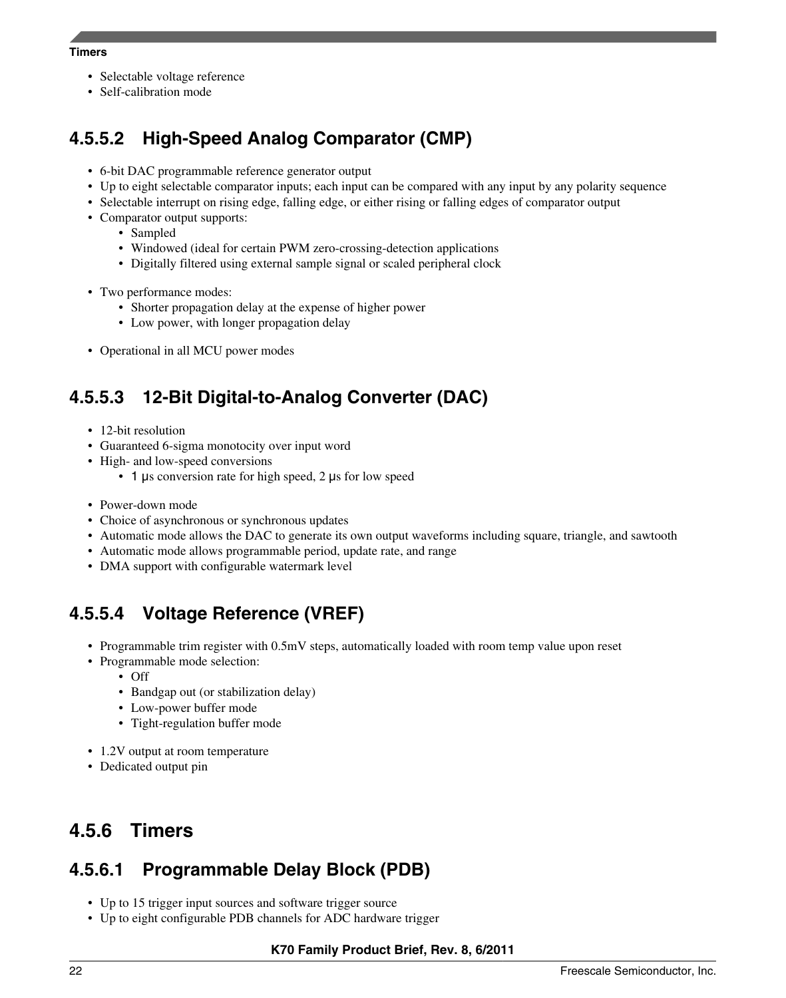#### **Timers**

- Selectable voltage reference
- Self-calibration mode

### **4.5.5.2 High-Speed Analog Comparator (CMP)**

- 6-bit DAC programmable reference generator output
- Up to eight selectable comparator inputs; each input can be compared with any input by any polarity sequence
- Selectable interrupt on rising edge, falling edge, or either rising or falling edges of comparator output
- Comparator output supports:
	- Sampled
	- Windowed (ideal for certain PWM zero-crossing-detection applications
	- Digitally filtered using external sample signal or scaled peripheral clock
- Two performance modes:
	- Shorter propagation delay at the expense of higher power
	- Low power, with longer propagation delay
- Operational in all MCU power modes

## **4.5.5.3 12-Bit Digital-to-Analog Converter (DAC)**

- 12-bit resolution
- Guaranteed 6-sigma monotocity over input word
- High- and low-speed conversions
	- 1 μs conversion rate for high speed, 2 μs for low speed
- Power-down mode
- Choice of asynchronous or synchronous updates
- Automatic mode allows the DAC to generate its own output waveforms including square, triangle, and sawtooth
- Automatic mode allows programmable period, update rate, and range
- DMA support with configurable watermark level

### **4.5.5.4 Voltage Reference (VREF)**

- Programmable trim register with 0.5mV steps, automatically loaded with room temp value upon reset
- Programmable mode selection:
	- Off
	- Bandgap out (or stabilization delay)
	- Low-power buffer mode
	- Tight-regulation buffer mode
- 1.2V output at room temperature
- Dedicated output pin

#### **Timers 4.5.6**

### **4.5.6.1 Programmable Delay Block (PDB)**

- Up to 15 trigger input sources and software trigger source
- Up to eight configurable PDB channels for ADC hardware trigger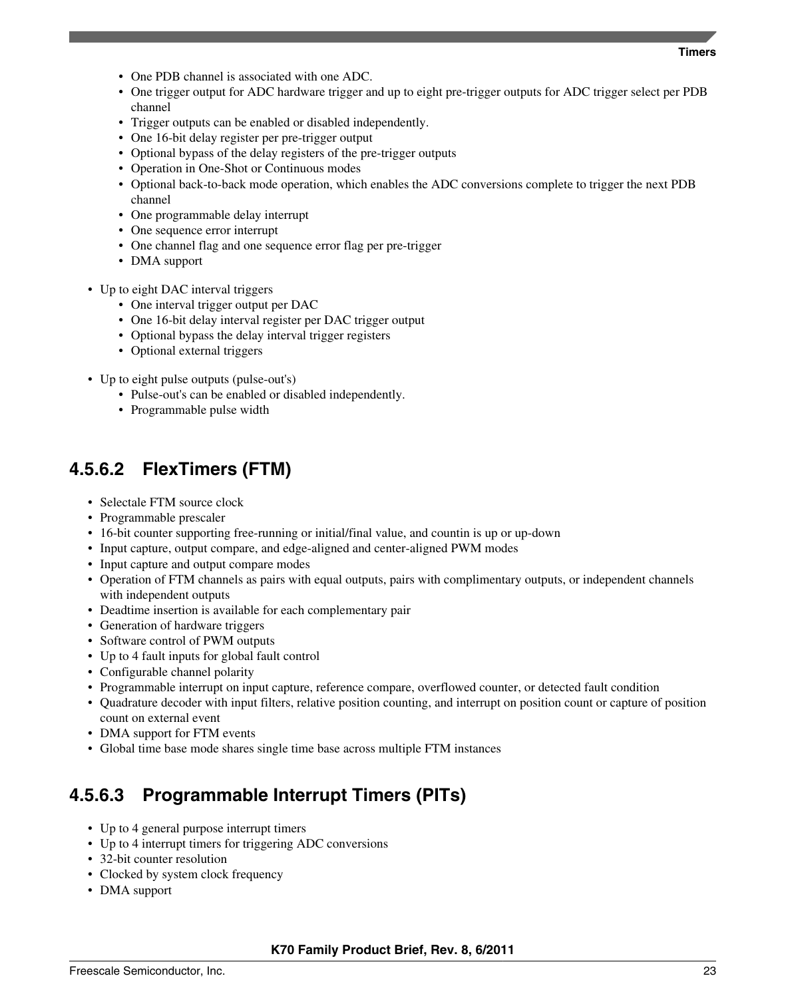#### **Timers**

- One PDB channel is associated with one ADC.
- One trigger output for ADC hardware trigger and up to eight pre-trigger outputs for ADC trigger select per PDB channel
- Trigger outputs can be enabled or disabled independently.
- One 16-bit delay register per pre-trigger output
- Optional bypass of the delay registers of the pre-trigger outputs
- Operation in One-Shot or Continuous modes
- Optional back-to-back mode operation, which enables the ADC conversions complete to trigger the next PDB channel
- One programmable delay interrupt
- One sequence error interrupt
- One channel flag and one sequence error flag per pre-trigger
- DMA support
- Up to eight DAC interval triggers
	- One interval trigger output per DAC
	- One 16-bit delay interval register per DAC trigger output
	- Optional bypass the delay interval trigger registers
	- Optional external triggers
- Up to eight pulse outputs (pulse-out's)
	- Pulse-out's can be enabled or disabled independently.
	- Programmable pulse width

### **4.5.6.2 FlexTimers (FTM)**

- Selectale FTM source clock
- Programmable prescaler
- 16-bit counter supporting free-running or initial/final value, and countin is up or up-down
- Input capture, output compare, and edge-aligned and center-aligned PWM modes
- Input capture and output compare modes
- Operation of FTM channels as pairs with equal outputs, pairs with complimentary outputs, or independent channels with independent outputs
- Deadtime insertion is available for each complementary pair
- Generation of hardware triggers
- Software control of PWM outputs
- Up to 4 fault inputs for global fault control
- Configurable channel polarity
- Programmable interrupt on input capture, reference compare, overflowed counter, or detected fault condition
- Quadrature decoder with input filters, relative position counting, and interrupt on position count or capture of position count on external event
- DMA support for FTM events
- Global time base mode shares single time base across multiple FTM instances

# **4.5.6.3 Programmable Interrupt Timers (PITs)**

- Up to 4 general purpose interrupt timers
- Up to 4 interrupt timers for triggering ADC conversions
- 32-bit counter resolution
- Clocked by system clock frequency
- DMA support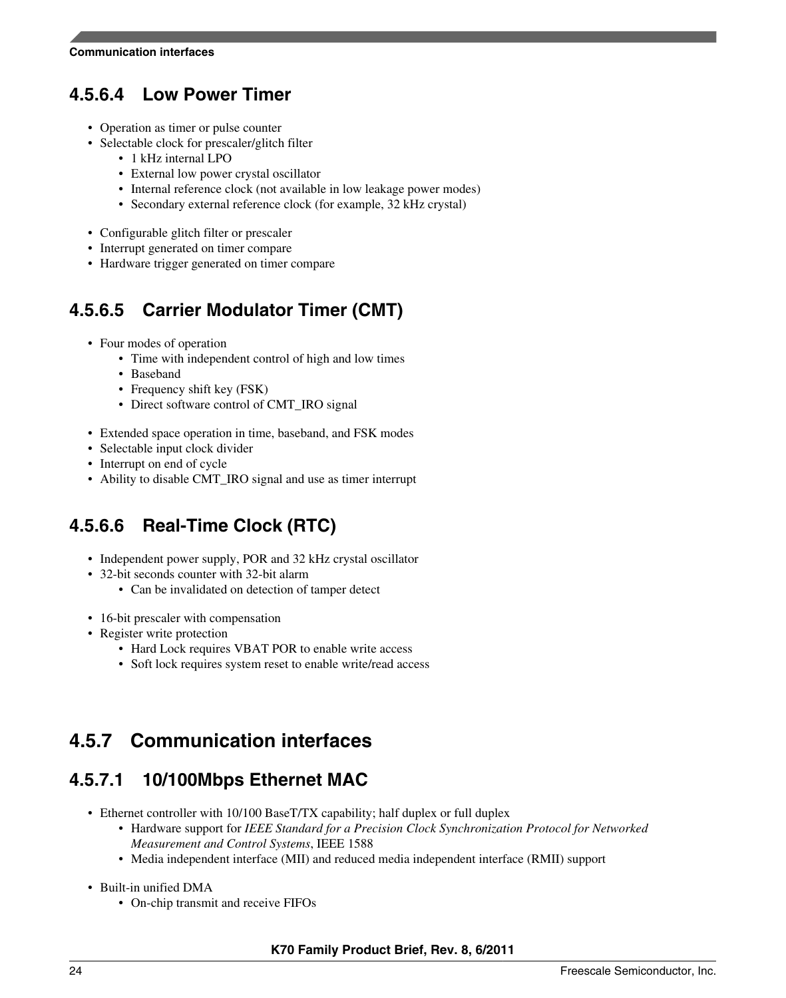### **4.5.6.4 Low Power Timer**

- Operation as timer or pulse counter
- Selectable clock for prescaler/glitch filter
	- 1 kHz internal LPO
		- External low power crystal oscillator
		- Internal reference clock (not available in low leakage power modes)
		- Secondary external reference clock (for example, 32 kHz crystal)
- Configurable glitch filter or prescaler
- Interrupt generated on timer compare
- Hardware trigger generated on timer compare

### **4.5.6.5 Carrier Modulator Timer (CMT)**

- Four modes of operation
	- Time with independent control of high and low times
	- Baseband
	- Frequency shift key (FSK)
	- Direct software control of CMT\_IRO signal
- Extended space operation in time, baseband, and FSK modes
- Selectable input clock divider
- Interrupt on end of cycle
- Ability to disable CMT\_IRO signal and use as timer interrupt

### **4.5.6.6 Real-Time Clock (RTC)**

- Independent power supply, POR and 32 kHz crystal oscillator
- 32-bit seconds counter with 32-bit alarm
	- Can be invalidated on detection of tamper detect
- 16-bit prescaler with compensation
- Register write protection
	- Hard Lock requires VBAT POR to enable write access
	- Soft lock requires system reset to enable write/read access

## **Communication interfaces 4.5.7**

### **4.5.7.1 10/100Mbps Ethernet MAC**

- Ethernet controller with 10/100 BaseT/TX capability; half duplex or full duplex
	- Hardware support for *IEEE Standard for a Precision Clock Synchronization Protocol for Networked Measurement and Control Systems*, IEEE 1588
	- Media independent interface (MII) and reduced media independent interface (RMII) support
- Built-in unified DMA
	- On-chip transmit and receive FIFOs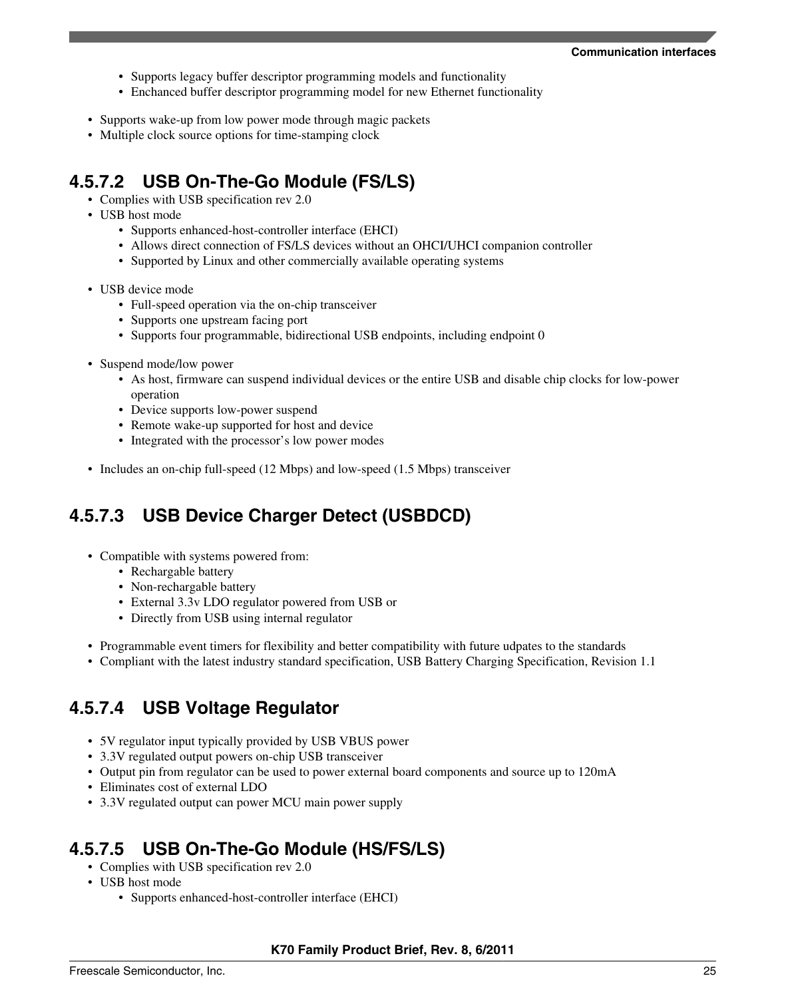- Supports legacy buffer descriptor programming models and functionality
- Enchanced buffer descriptor programming model for new Ethernet functionality
- Supports wake-up from low power mode through magic packets
- Multiple clock source options for time-stamping clock

### **4.5.7.2 USB On-The-Go Module (FS/LS)**

- Complies with USB specification rev 2.0
- USB host mode
	- Supports enhanced-host-controller interface (EHCI)
	- Allows direct connection of FS/LS devices without an OHCI/UHCI companion controller
	- Supported by Linux and other commercially available operating systems
- USB device mode
	- Full-speed operation via the on-chip transceiver
	- Supports one upstream facing port
	- Supports four programmable, bidirectional USB endpoints, including endpoint 0
- Suspend mode/low power
	- As host, firmware can suspend individual devices or the entire USB and disable chip clocks for low-power operation
	- Device supports low-power suspend
	- Remote wake-up supported for host and device
	- Integrated with the processor's low power modes
- Includes an on-chip full-speed (12 Mbps) and low-speed (1.5 Mbps) transceiver

## **4.5.7.3 USB Device Charger Detect (USBDCD)**

- Compatible with systems powered from:
	- Rechargable battery
	- Non-rechargable battery
	- External 3.3v LDO regulator powered from USB or
	- Directly from USB using internal regulator
- Programmable event timers for flexibility and better compatibility with future udpates to the standards
- Compliant with the latest industry standard specification, USB Battery Charging Specification, Revision 1.1

### **4.5.7.4 USB Voltage Regulator**

- 5V regulator input typically provided by USB VBUS power
- 3.3V regulated output powers on-chip USB transceiver
- Output pin from regulator can be used to power external board components and source up to 120mA
- Eliminates cost of external LDO
- 3.3V regulated output can power MCU main power supply

### **4.5.7.5 USB On-The-Go Module (HS/FS/LS)**

- Complies with USB specification rev 2.0
- USB host mode
	- Supports enhanced-host-controller interface (EHCI)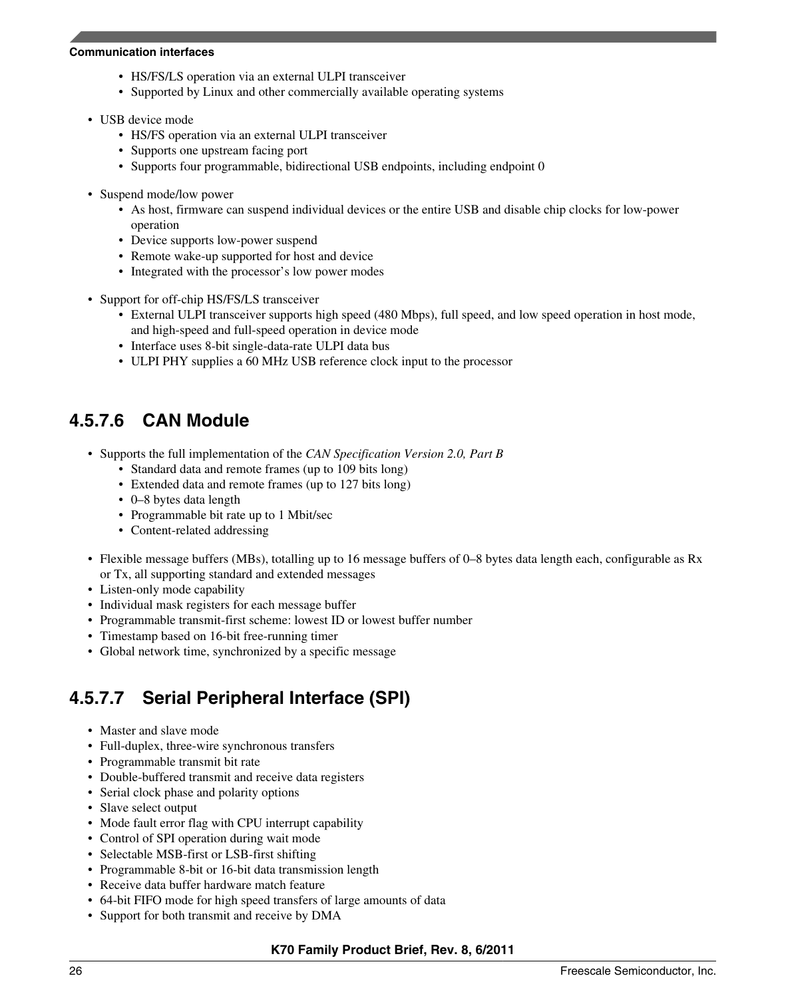#### **Communication interfaces**

- HS/FS/LS operation via an external ULPI transceiver
- Supported by Linux and other commercially available operating systems
- USB device mode
	- HS/FS operation via an external ULPI transceiver
	- Supports one upstream facing port
	- Supports four programmable, bidirectional USB endpoints, including endpoint 0
- Suspend mode/low power
	- As host, firmware can suspend individual devices or the entire USB and disable chip clocks for low-power operation
	- Device supports low-power suspend
	- Remote wake-up supported for host and device
	- Integrated with the processor's low power modes
- Support for off-chip HS/FS/LS transceiver
	- External ULPI transceiver supports high speed (480 Mbps), full speed, and low speed operation in host mode, and high-speed and full-speed operation in device mode
	- Interface uses 8-bit single-data-rate ULPI data bus
	- ULPI PHY supplies a 60 MHz USB reference clock input to the processor

### **4.5.7.6 CAN Module**

- Supports the full implementation of the *CAN Specification Version 2.0, Part B*
	- Standard data and remote frames (up to 109 bits long)
	- Extended data and remote frames (up to 127 bits long)
	- 0–8 bytes data length
	- Programmable bit rate up to 1 Mbit/sec
	- Content-related addressing
- Flexible message buffers (MBs), totalling up to 16 message buffers of 0–8 bytes data length each, configurable as Rx or Tx, all supporting standard and extended messages
- Listen-only mode capability
- Individual mask registers for each message buffer
- Programmable transmit-first scheme: lowest ID or lowest buffer number
- Timestamp based on 16-bit free-running timer
- Global network time, synchronized by a specific message

### **4.5.7.7 Serial Peripheral Interface (SPI)**

- Master and slave mode
- Full-duplex, three-wire synchronous transfers
- Programmable transmit bit rate
- Double-buffered transmit and receive data registers
- Serial clock phase and polarity options
- Slave select output
- Mode fault error flag with CPU interrupt capability
- Control of SPI operation during wait mode
- Selectable MSB-first or LSB-first shifting
- Programmable 8-bit or 16-bit data transmission length
- Receive data buffer hardware match feature
- 64-bit FIFO mode for high speed transfers of large amounts of data
- Support for both transmit and receive by DMA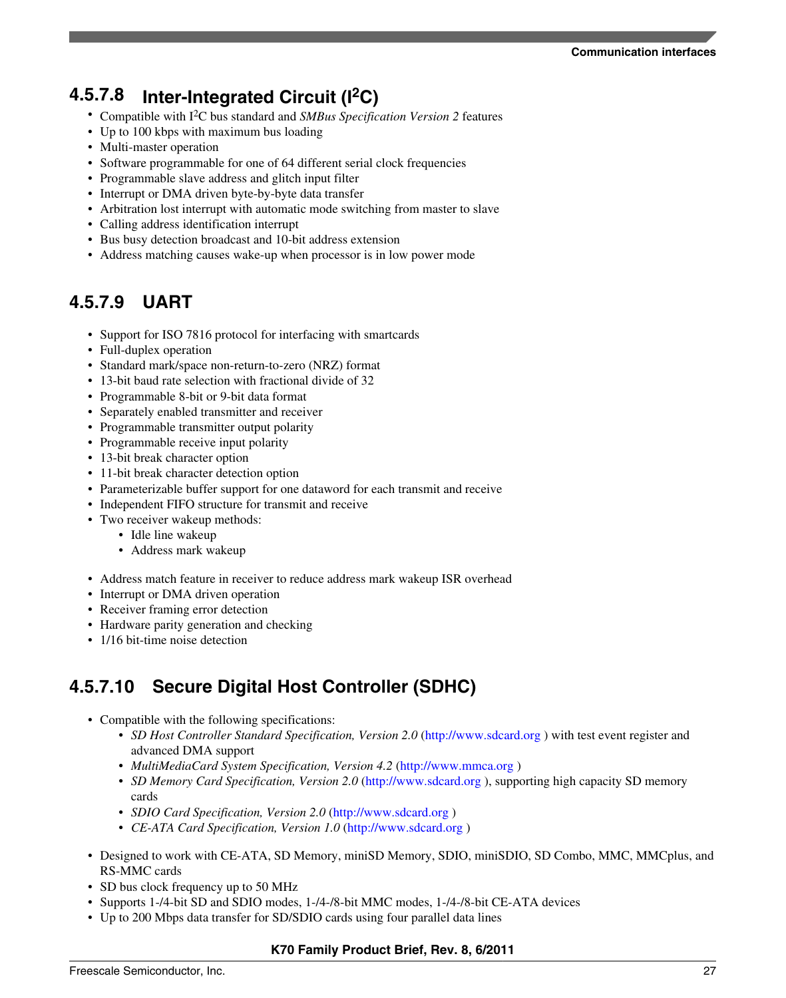# **4.5.7.8 Inter-Integrated Circuit (I2C)**

- Compatible with I2C bus standard and *SMBus Specification Version 2* features
- Up to 100 kbps with maximum bus loading
- Multi-master operation
- Software programmable for one of 64 different serial clock frequencies
- Programmable slave address and glitch input filter
- Interrupt or DMA driven byte-by-byte data transfer
- Arbitration lost interrupt with automatic mode switching from master to slave
- Calling address identification interrupt
- Bus busy detection broadcast and 10-bit address extension
- Address matching causes wake-up when processor is in low power mode

### **4.5.7.9 UART**

- Support for ISO 7816 protocol for interfacing with smartcards
- Full-duplex operation
- Standard mark/space non-return-to-zero (NRZ) format
- 13-bit baud rate selection with fractional divide of 32
- Programmable 8-bit or 9-bit data format
- Separately enabled transmitter and receiver
- Programmable transmitter output polarity
- Programmable receive input polarity
- 13-bit break character option
- 11-bit break character detection option
- Parameterizable buffer support for one dataword for each transmit and receive
- Independent FIFO structure for transmit and receive
- Two receiver wakeup methods:
	- Idle line wakeup
		- Address mark wakeup
- Address match feature in receiver to reduce address mark wakeup ISR overhead
- Interrupt or DMA driven operation
- Receiver framing error detection
- Hardware parity generation and checking
- 1/16 bit-time noise detection

### **4.5.7.10 Secure Digital Host Controller (SDHC)**

- Compatible with the following specifications:
	- *SD Host Controller Standard Specification, Version 2.0* [\(http://www.sdcard.org](http://www.sdcard.org) ) with test event register and advanced DMA support
	- *MultiMediaCard System Specification, Version 4.2* (<http://www.mmca.org> )
	- *SD Memory Card Specification, Version 2.0* (<http://www.sdcard.org>), supporting high capacity SD memory cards
	- *SDIO Card Specification, Version 2.0* [\(http://www.sdcard.org](http://www.sdcard.org) )
	- *CE-ATA Card Specification, Version 1.0* (<http://www.sdcard.org>)
- Designed to work with CE-ATA, SD Memory, miniSD Memory, SDIO, miniSDIO, SD Combo, MMC, MMCplus, and RS-MMC cards
- SD bus clock frequency up to 50 MHz
- Supports 1-/4-bit SD and SDIO modes, 1-/4-/8-bit MMC modes, 1-/4-/8-bit CE-ATA devices
- Up to 200 Mbps data transfer for SD/SDIO cards using four parallel data lines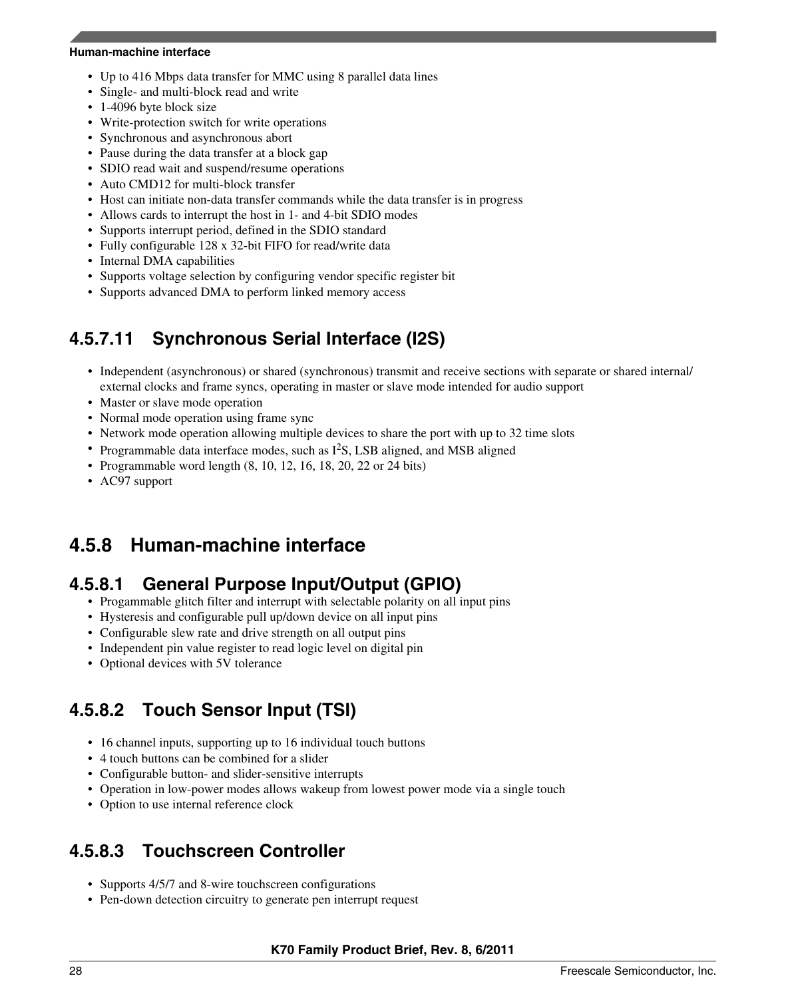#### **Human-machine interface**

- Up to 416 Mbps data transfer for MMC using 8 parallel data lines
- Single- and multi-block read and write
- 1-4096 byte block size
- Write-protection switch for write operations
- Synchronous and asynchronous abort
- Pause during the data transfer at a block gap
- SDIO read wait and suspend/resume operations
- Auto CMD12 for multi-block transfer
- Host can initiate non-data transfer commands while the data transfer is in progress
- Allows cards to interrupt the host in 1- and 4-bit SDIO modes
- Supports interrupt period, defined in the SDIO standard
- Fully configurable 128 x 32-bit FIFO for read/write data
- Internal DMA capabilities
- Supports voltage selection by configuring vendor specific register bit
- Supports advanced DMA to perform linked memory access

### **4.5.7.11 Synchronous Serial Interface (I2S)**

- Independent (asynchronous) or shared (synchronous) transmit and receive sections with separate or shared internal/ external clocks and frame syncs, operating in master or slave mode intended for audio support
- Master or slave mode operation
- Normal mode operation using frame sync
- Network mode operation allowing multiple devices to share the port with up to 32 time slots
- Programmable data interface modes, such as  $I^2S$ , LSB aligned, and MSB aligned
- Programmable word length  $(8, 10, 12, 16, 18, 20, 22$  or  $24$  bits)
- AC97 support

#### **Human-machine interface 4.5.8**

### **4.5.8.1 General Purpose Input/Output (GPIO)**

- Progammable glitch filter and interrupt with selectable polarity on all input pins
- Hysteresis and configurable pull up/down device on all input pins
- Configurable slew rate and drive strength on all output pins
- Independent pin value register to read logic level on digital pin
- Optional devices with 5V tolerance

### **4.5.8.2 Touch Sensor Input (TSI)**

- 16 channel inputs, supporting up to 16 individual touch buttons
- 4 touch buttons can be combined for a slider
- Configurable button- and slider-sensitive interrupts
- Operation in low-power modes allows wakeup from lowest power mode via a single touch
- Option to use internal reference clock

### **4.5.8.3 Touchscreen Controller**

- Supports 4/5/7 and 8-wire touchscreen configurations
- Pen-down detection circuitry to generate pen interrupt request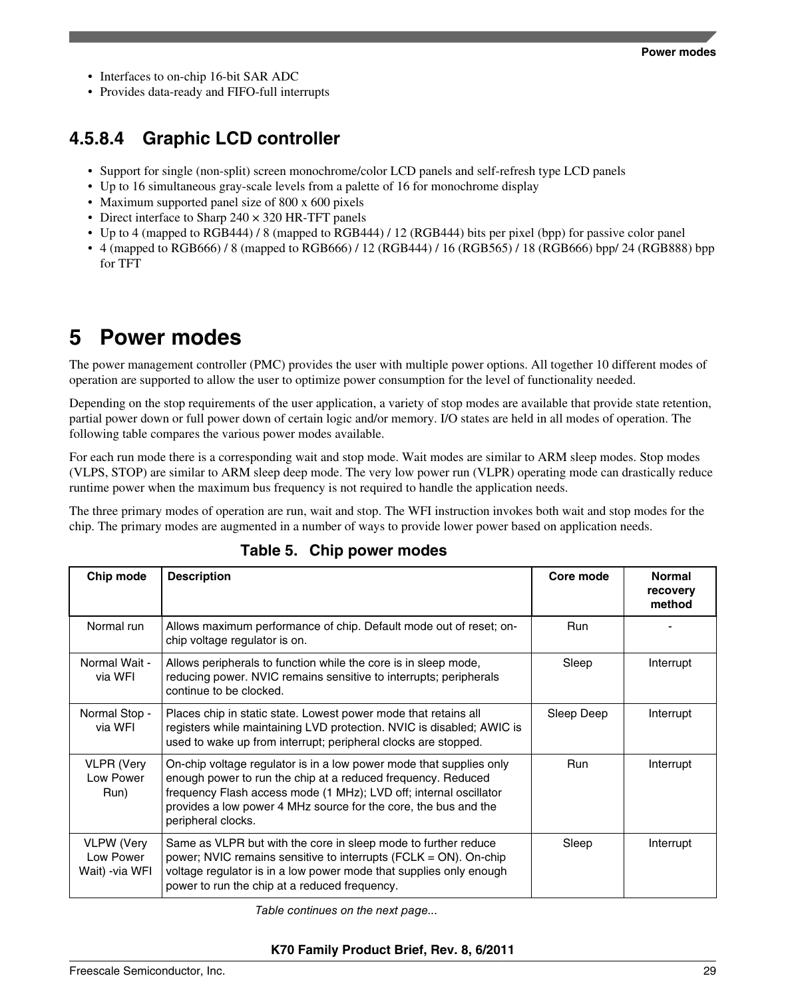- <span id="page-28-0"></span>• Interfaces to on-chip 16-bit SAR ADC
- Provides data-ready and FIFO-full interrupts

### **4.5.8.4 Graphic LCD controller**

- Support for single (non-split) screen monochrome/color LCD panels and self-refresh type LCD panels
- Up to 16 simultaneous gray-scale levels from a palette of 16 for monochrome display
- Maximum supported panel size of 800 x 600 pixels
- Direct interface to Sharp 240  $\times$  320 HR-TFT panels
- Up to 4 (mapped to RGB444) / 8 (mapped to RGB444) / 12 (RGB444) bits per pixel (bpp) for passive color panel
- 4 (mapped to RGB666) / 8 (mapped to RGB666) / 12 (RGB444) / 16 (RGB565) / 18 (RGB666) bpp/ 24 (RGB888) bpp for TFT

# **5 Power modes**

The power management controller (PMC) provides the user with multiple power options. All together 10 different modes of operation are supported to allow the user to optimize power consumption for the level of functionality needed.

Depending on the stop requirements of the user application, a variety of stop modes are available that provide state retention, partial power down or full power down of certain logic and/or memory. I/O states are held in all modes of operation. The following table compares the various power modes available.

For each run mode there is a corresponding wait and stop mode. Wait modes are similar to ARM sleep modes. Stop modes (VLPS, STOP) are similar to ARM sleep deep mode. The very low power run (VLPR) operating mode can drastically reduce runtime power when the maximum bus frequency is not required to handle the application needs.

The three primary modes of operation are run, wait and stop. The WFI instruction invokes both wait and stop modes for the chip. The primary modes are augmented in a number of ways to provide lower power based on application needs.

| Chip mode                                        | <b>Description</b>                                                                                                                                                                                                                                                                                | Core mode  | <b>Normal</b><br>recovery<br>method |
|--------------------------------------------------|---------------------------------------------------------------------------------------------------------------------------------------------------------------------------------------------------------------------------------------------------------------------------------------------------|------------|-------------------------------------|
| Normal run                                       | Allows maximum performance of chip. Default mode out of reset; on-<br><b>Run</b><br>chip voltage regulator is on.                                                                                                                                                                                 |            |                                     |
| Normal Wait -<br>via WFI                         | Allows peripherals to function while the core is in sleep mode,<br>reducing power. NVIC remains sensitive to interrupts; peripherals<br>continue to be clocked.                                                                                                                                   | Sleep      | Interrupt                           |
| Normal Stop -<br>via WFI                         | Places chip in static state. Lowest power mode that retains all<br>registers while maintaining LVD protection. NVIC is disabled; AWIC is<br>used to wake up from interrupt; peripheral clocks are stopped.                                                                                        | Sleep Deep | Interrupt                           |
| <b>VLPR</b> (Very<br>Low Power<br>Run)           | On-chip voltage regulator is in a low power mode that supplies only<br>enough power to run the chip at a reduced frequency. Reduced<br>frequency Flash access mode (1 MHz); LVD off; internal oscillator<br>provides a low power 4 MHz source for the core, the bus and the<br>peripheral clocks. | <b>Run</b> | Interrupt                           |
| <b>VLPW</b> (Very<br>Low Power<br>Wait) -via WFI | Same as VLPR but with the core in sleep mode to further reduce<br>power; NVIC remains sensitive to interrupts (FCLK = ON). On-chip<br>voltage regulator is in a low power mode that supplies only enough<br>power to run the chip at a reduced frequency.                                         | Sleep      | Interrupt                           |

### **Table 5. Chip power modes**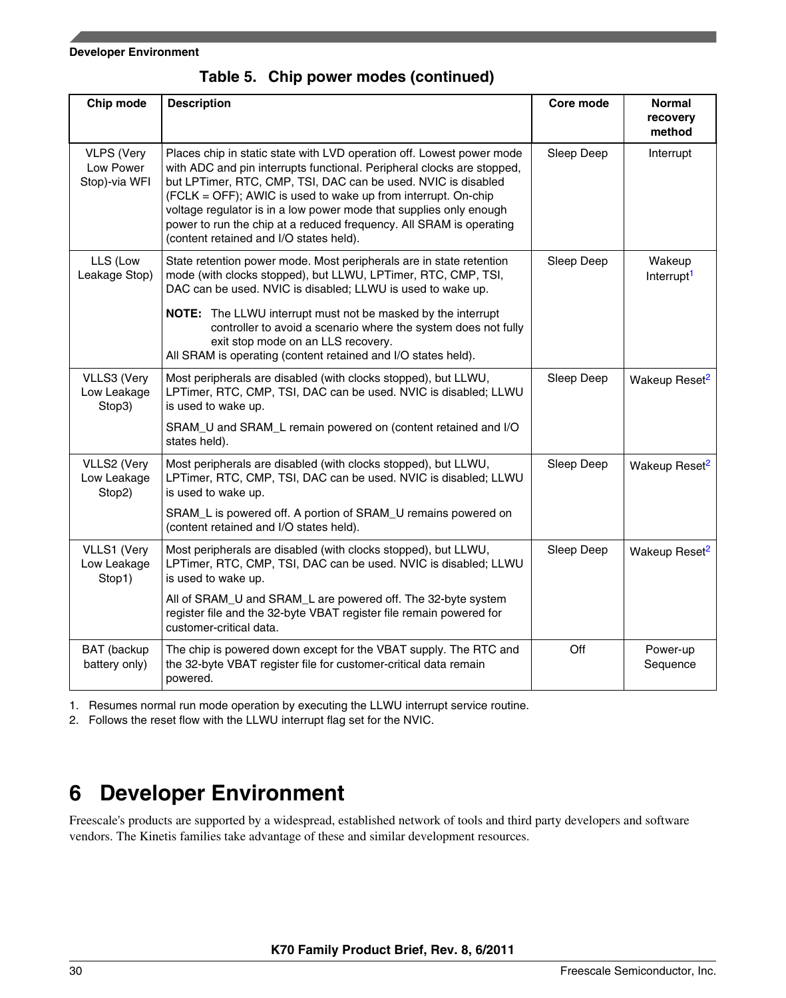#### <span id="page-29-0"></span>**Developer Environment**

| Chip mode                                       | <b>Description</b>                                                                                                                                                                                                                                                                                                                                                                                                                                                        | Core mode  | <b>Normal</b><br>recovery<br>method |
|-------------------------------------------------|---------------------------------------------------------------------------------------------------------------------------------------------------------------------------------------------------------------------------------------------------------------------------------------------------------------------------------------------------------------------------------------------------------------------------------------------------------------------------|------------|-------------------------------------|
| <b>VLPS (Very</b><br>Low Power<br>Stop)-via WFI | Places chip in static state with LVD operation off. Lowest power mode<br>with ADC and pin interrupts functional. Peripheral clocks are stopped,<br>but LPTimer, RTC, CMP, TSI, DAC can be used. NVIC is disabled<br>(FCLK = OFF); AWIC is used to wake up from interrupt. On-chip<br>voltage regulator is in a low power mode that supplies only enough<br>power to run the chip at a reduced frequency. All SRAM is operating<br>(content retained and I/O states held). | Sleep Deep | Interrupt                           |
| LLS (Low<br>Leakage Stop)                       | State retention power mode. Most peripherals are in state retention<br>mode (with clocks stopped), but LLWU, LPTimer, RTC, CMP, TSI,<br>DAC can be used. NVIC is disabled; LLWU is used to wake up.<br>NOTE: The LLWU interrupt must not be masked by the interrupt<br>controller to avoid a scenario where the system does not fully<br>exit stop mode on an LLS recovery.<br>All SRAM is operating (content retained and I/O states held).                              | Sleep Deep | Wakeup<br>Interrupt <sup>1</sup>    |
| VLLS3 (Very<br>Low Leakage<br>Stop3)            | Most peripherals are disabled (with clocks stopped), but LLWU,<br>LPTimer, RTC, CMP, TSI, DAC can be used. NVIC is disabled; LLWU<br>is used to wake up.<br>SRAM_U and SRAM_L remain powered on (content retained and I/O<br>states held).                                                                                                                                                                                                                                | Sleep Deep | Wakeup Reset <sup>2</sup>           |
| VLLS2 (Very<br>Low Leakage<br>Stop2)            | Most peripherals are disabled (with clocks stopped), but LLWU,<br>LPTimer, RTC, CMP, TSI, DAC can be used. NVIC is disabled; LLWU<br>is used to wake up.<br>SRAM_L is powered off. A portion of SRAM_U remains powered on<br>(content retained and I/O states held).                                                                                                                                                                                                      | Sleep Deep | Wakeup Reset <sup>2</sup>           |
| VLLS1 (Very<br>Low Leakage<br>Stop1)            | Most peripherals are disabled (with clocks stopped), but LLWU,<br>LPTimer, RTC, CMP, TSI, DAC can be used. NVIC is disabled; LLWU<br>is used to wake up.<br>All of SRAM_U and SRAM_L are powered off. The 32-byte system<br>register file and the 32-byte VBAT register file remain powered for<br>customer-critical data.                                                                                                                                                | Sleep Deep | Wakeup Reset <sup>2</sup>           |
| BAT (backup<br>battery only)                    | The chip is powered down except for the VBAT supply. The RTC and<br>the 32-byte VBAT register file for customer-critical data remain<br>powered.                                                                                                                                                                                                                                                                                                                          | Off        | Power-up<br>Sequence                |

**Table 5. Chip power modes (continued)**

1. Resumes normal run mode operation by executing the LLWU interrupt service routine.

2. Follows the reset flow with the LLWU interrupt flag set for the NVIC.

# **6 Developer Environment**

Freescale's products are supported by a widespread, established network of tools and third party developers and software vendors. The Kinetis families take advantage of these and similar development resources.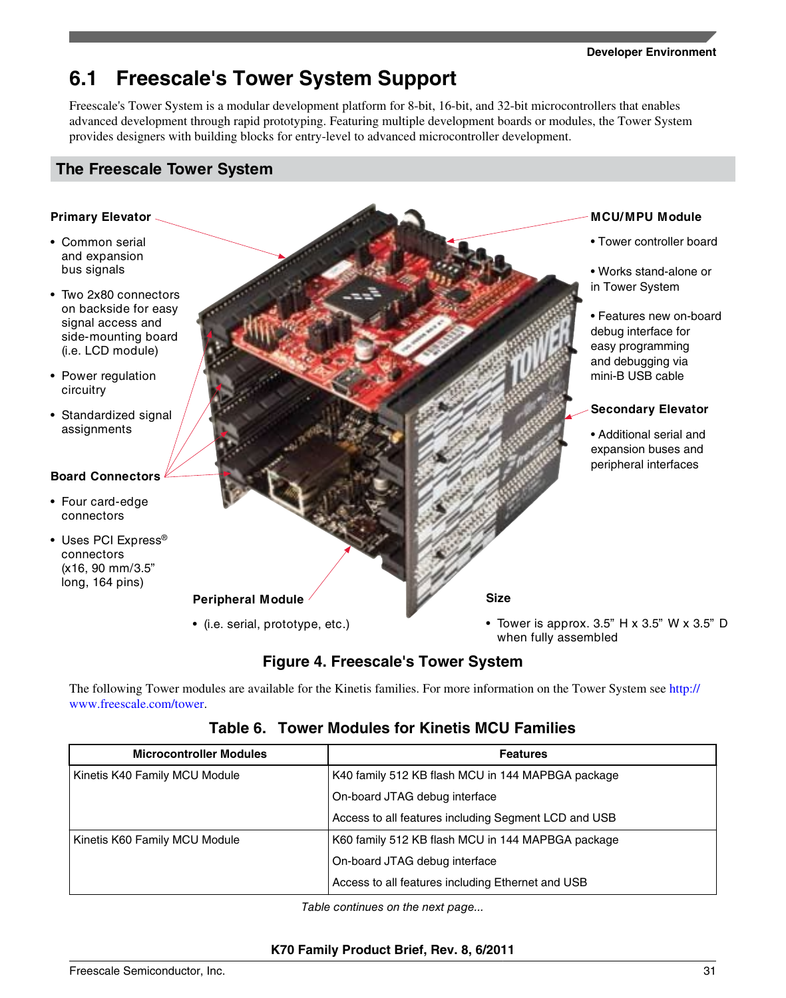#### **Developer Environment**

# **6.1 Freescale's Tower System Support**

Freescale's Tower System is a modular development platform for 8-bit, 16-bit, and 32-bit microcontrollers that enables advanced development through rapid prototyping. Featuring multiple development boards or modules, the Tower System provides designers with building blocks for entry-level to advanced microcontroller development.

### **The Freescale Tower System**

### **Primary Elevator**

- Common serial and expansion bus signals
- Two 2x80 connectors on backside for easy signal access and side-mounting board (i.e. LCD module)
- Power regulation circuitry
- Standardized signal assignments

### **Board Connectors**

- Four card-edge connectors
- Uses PCI Express® connectors (x16, 90 mm/3.5" long, 164 pins)



### **Figure 4. Freescale's Tower System**

The following Tower modules are available for the Kinetis families. For more information on the Tower System see [http://](http://www.freescale.com/tower) [www.freescale.com/tower.](http://www.freescale.com/tower)

### **Table 6. Tower Modules for Kinetis MCU Families**

| <b>Microcontroller Modules</b> | <b>Features</b>                                      |
|--------------------------------|------------------------------------------------------|
| Kinetis K40 Family MCU Module  | K40 family 512 KB flash MCU in 144 MAPBGA package    |
|                                | On-board JTAG debug interface                        |
|                                | Access to all features including Segment LCD and USB |
| Kinetis K60 Family MCU Module  | K60 family 512 KB flash MCU in 144 MAPBGA package    |
|                                | On-board JTAG debug interface                        |
|                                | Access to all features including Ethernet and USB    |

*Table continues on the next page...*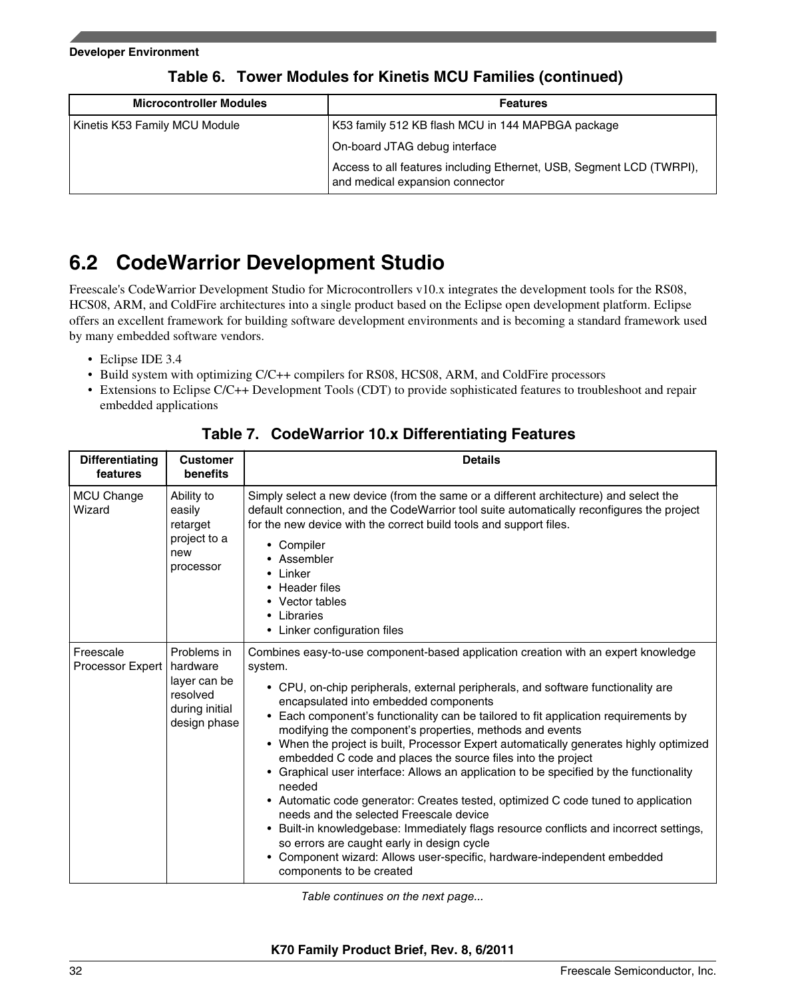| <b>Microcontroller Modules</b> | <b>Features</b>                                                                                         |
|--------------------------------|---------------------------------------------------------------------------------------------------------|
| Kinetis K53 Family MCU Module  | K53 family 512 KB flash MCU in 144 MAPBGA package                                                       |
|                                | On-board JTAG debug interface                                                                           |
|                                | Access to all features including Ethernet, USB, Segment LCD (TWRPI),<br>and medical expansion connector |

### **Table 6. Tower Modules for Kinetis MCU Families (continued)**

# **6.2 CodeWarrior Development Studio**

Freescale's CodeWarrior Development Studio for Microcontrollers v10.x integrates the development tools for the RS08, HCS08, ARM, and ColdFire architectures into a single product based on the Eclipse open development platform. Eclipse offers an excellent framework for building software development environments and is becoming a standard framework used by many embedded software vendors.

- Eclipse IDE 3.4
- Build system with optimizing C/C++ compilers for RS08, HCS08, ARM, and ColdFire processors
- Extensions to Eclipse C/C++ Development Tools (CDT) to provide sophisticated features to troubleshoot and repair embedded applications

| <b>Differentiating</b><br>features | <b>Customer</b><br>benefits                                                           | <b>Details</b>                                                                                                                                                                                                                                                                                                                                                                                                                                                                                                                                                                                                                                                                                                                                                                                                                                                                                                                                                                                                             |
|------------------------------------|---------------------------------------------------------------------------------------|----------------------------------------------------------------------------------------------------------------------------------------------------------------------------------------------------------------------------------------------------------------------------------------------------------------------------------------------------------------------------------------------------------------------------------------------------------------------------------------------------------------------------------------------------------------------------------------------------------------------------------------------------------------------------------------------------------------------------------------------------------------------------------------------------------------------------------------------------------------------------------------------------------------------------------------------------------------------------------------------------------------------------|
| MCU Change<br>Wizard               | Ability to<br>easily<br>retarget<br>project to a<br>new<br>processor                  | Simply select a new device (from the same or a different architecture) and select the<br>default connection, and the CodeWarrior tool suite automatically reconfigures the project<br>for the new device with the correct build tools and support files.<br>• Compiler<br>• Assembler<br>• Linker<br>• Header files<br>• Vector tables<br>• Libraries<br>• Linker configuration files                                                                                                                                                                                                                                                                                                                                                                                                                                                                                                                                                                                                                                      |
| Freescale<br>Processor Expert      | Problems in<br>hardware<br>layer can be<br>resolved<br>during initial<br>design phase | Combines easy-to-use component-based application creation with an expert knowledge<br>system.<br>• CPU, on-chip peripherals, external peripherals, and software functionality are<br>encapsulated into embedded components<br>• Each component's functionality can be tailored to fit application requirements by<br>modifying the component's properties, methods and events<br>• When the project is built, Processor Expert automatically generates highly optimized<br>embedded C code and places the source files into the project<br>• Graphical user interface: Allows an application to be specified by the functionality<br>needed<br>• Automatic code generator: Creates tested, optimized C code tuned to application<br>needs and the selected Freescale device<br>• Built-in knowledgebase: Immediately flags resource conflicts and incorrect settings,<br>so errors are caught early in design cycle<br>• Component wizard: Allows user-specific, hardware-independent embedded<br>components to be created |

### **Table 7. CodeWarrior 10.x Differentiating Features**

*Table continues on the next page...*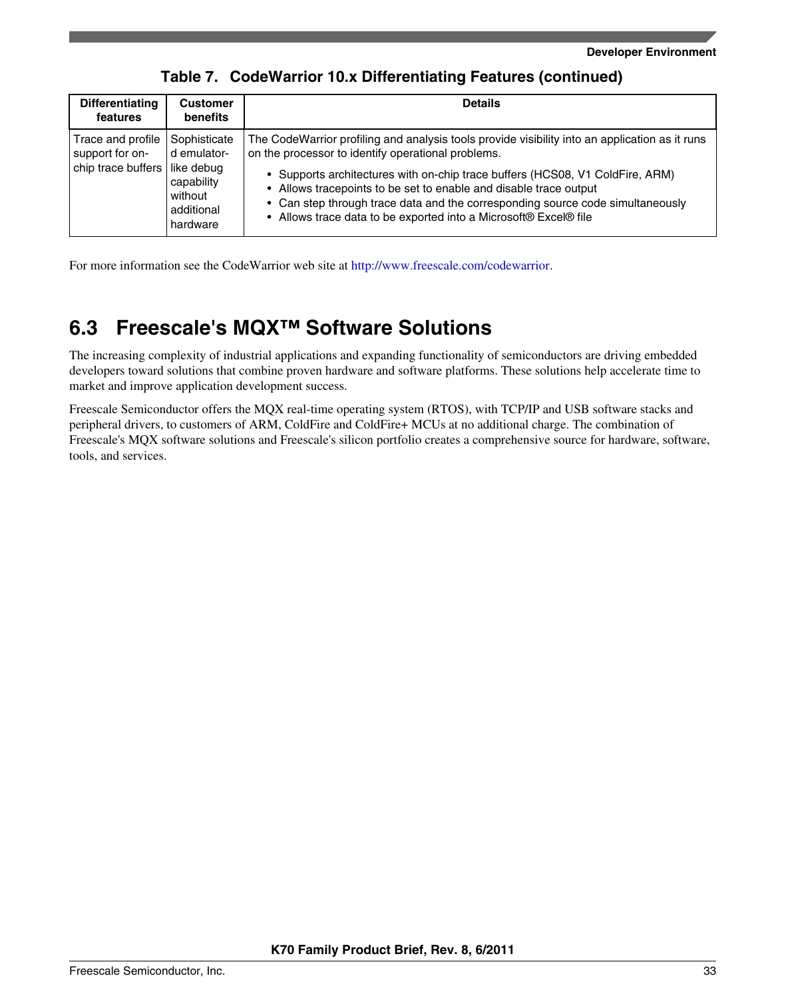| <b>Differentiating</b><br>features                         | <b>Customer</b><br><b>benefits</b>                                                           | <b>Details</b>                                                                                                                                                                                                                                                                                                                                                                                                                                                   |
|------------------------------------------------------------|----------------------------------------------------------------------------------------------|------------------------------------------------------------------------------------------------------------------------------------------------------------------------------------------------------------------------------------------------------------------------------------------------------------------------------------------------------------------------------------------------------------------------------------------------------------------|
| Trace and profile<br>support for on-<br>chip trace buffers | Sophisticate<br>d emulator-<br>like debug<br>capability<br>without<br>additional<br>hardware | The CodeWarrior profiling and analysis tools provide visibility into an application as it runs<br>on the processor to identify operational problems.<br>• Supports architectures with on-chip trace buffers (HCS08, V1 ColdFire, ARM)<br>• Allows tracepoints to be set to enable and disable trace output<br>• Can step through trace data and the corresponding source code simultaneously<br>• Allows trace data to be exported into a Microsoft® Excel® file |

**Table 7. CodeWarrior 10.x Differentiating Features (continued)**

For more information see the CodeWarrior web site at <http://www.freescale.com/codewarrior>.

# **6.3 Freescale's MQX™ Software Solutions**

The increasing complexity of industrial applications and expanding functionality of semiconductors are driving embedded developers toward solutions that combine proven hardware and software platforms. These solutions help accelerate time to market and improve application development success.

Freescale Semiconductor offers the MQX real-time operating system (RTOS), with TCP/IP and USB software stacks and peripheral drivers, to customers of ARM, ColdFire and ColdFire+ MCUs at no additional charge. The combination of Freescale's MQX software solutions and Freescale's silicon portfolio creates a comprehensive source for hardware, software, tools, and services.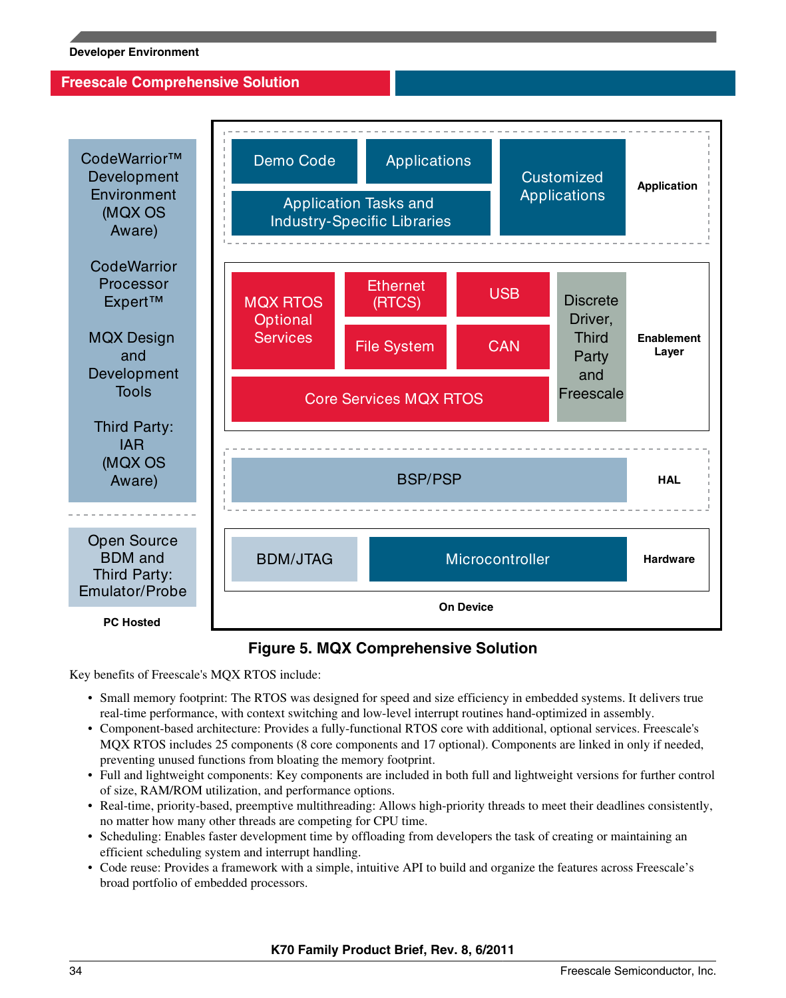### **Freescale Comprehensive Solution**





Key benefits of Freescale's MQX RTOS include:

- Small memory footprint: The RTOS was designed for speed and size efficiency in embedded systems. It delivers true real-time performance, with context switching and low-level interrupt routines hand-optimized in assembly.
- Component-based architecture: Provides a fully-functional RTOS core with additional, optional services. Freescale's MQX RTOS includes 25 components (8 core components and 17 optional). Components are linked in only if needed, preventing unused functions from bloating the memory footprint.
- Full and lightweight components: Key components are included in both full and lightweight versions for further control of size, RAM/ROM utilization, and performance options.
- Real-time, priority-based, preemptive multithreading: Allows high-priority threads to meet their deadlines consistently, no matter how many other threads are competing for CPU time.
- Scheduling: Enables faster development time by offloading from developers the task of creating or maintaining an efficient scheduling system and interrupt handling.
- Code reuse: Provides a framework with a simple, intuitive API to build and organize the features across Freescale's broad portfolio of embedded processors.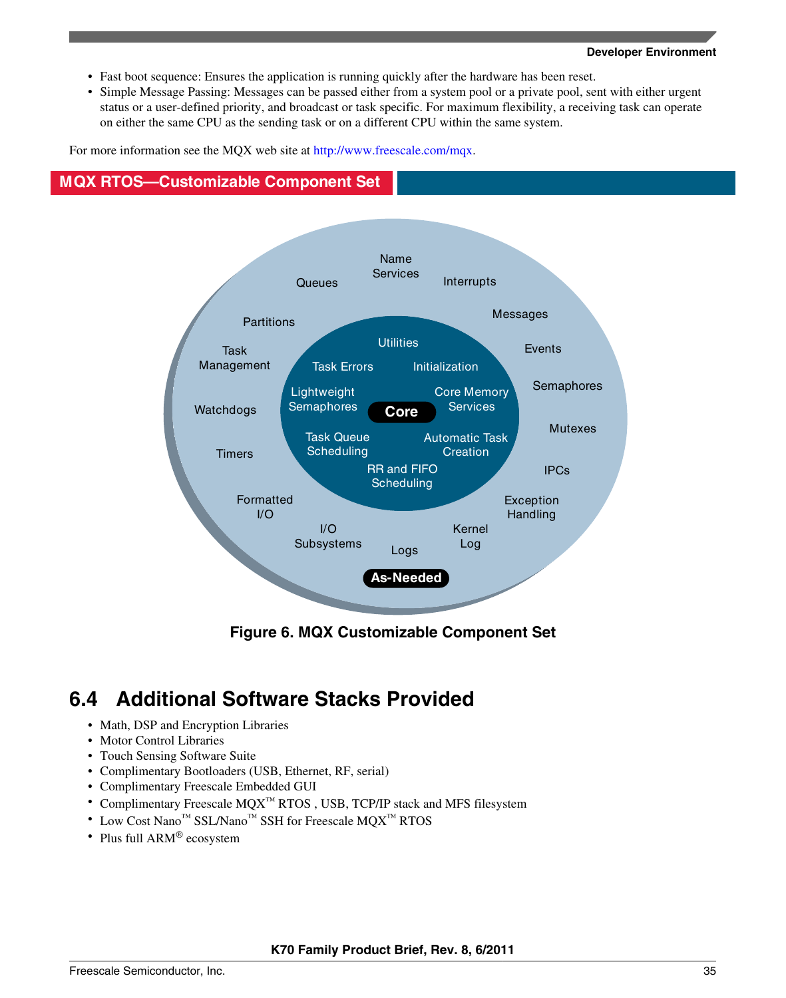- Fast boot sequence: Ensures the application is running quickly after the hardware has been reset.
- Simple Message Passing: Messages can be passed either from a system pool or a private pool, sent with either urgent status or a user-defined priority, and broadcast or task specific. For maximum flexibility, a receiving task can operate on either the same CPU as the sending task or on a different CPU within the same system.

For more information see the MQX web site at<http://www.freescale.com/mqx>.

### **MQX RTOS—Customizable Component Set**



**Figure 6. MQX Customizable Component Set**

# **6.4 Additional Software Stacks Provided**

- Math, DSP and Encryption Libraries
- Motor Control Libraries
- Touch Sensing Software Suite
- Complimentary Bootloaders (USB, Ethernet, RF, serial)
- Complimentary Freescale Embedded GUI
- Complimentary Freescale MQX™ RTOS , USB, TCP/IP stack and MFS filesystem
- Low Cost Nano™ SSL/Nano™ SSH for Freescale MQX™ RTOS
- Plus full ARM<sup>®</sup> ecosystem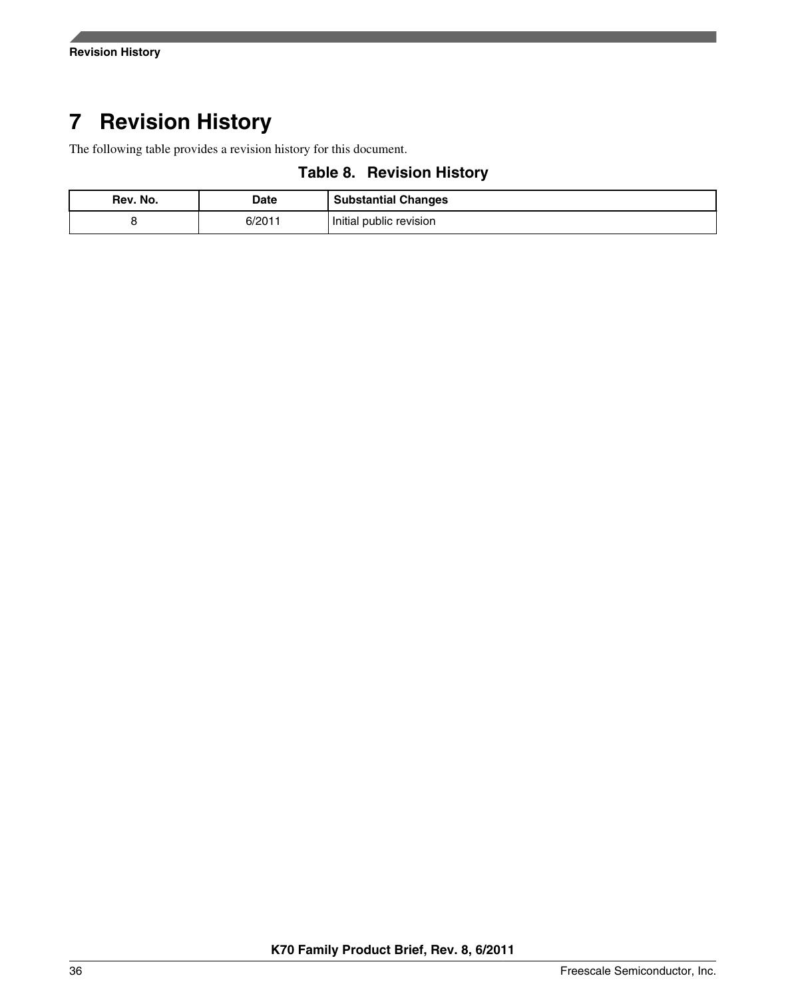# <span id="page-35-0"></span>**7 Revision History**

The following table provides a revision history for this document.

**Table 8. Revision History**

| Rev. No. | Date  | <b>Substantial Changes</b> |
|----------|-------|----------------------------|
|          | 6/201 | Initial public revision    |